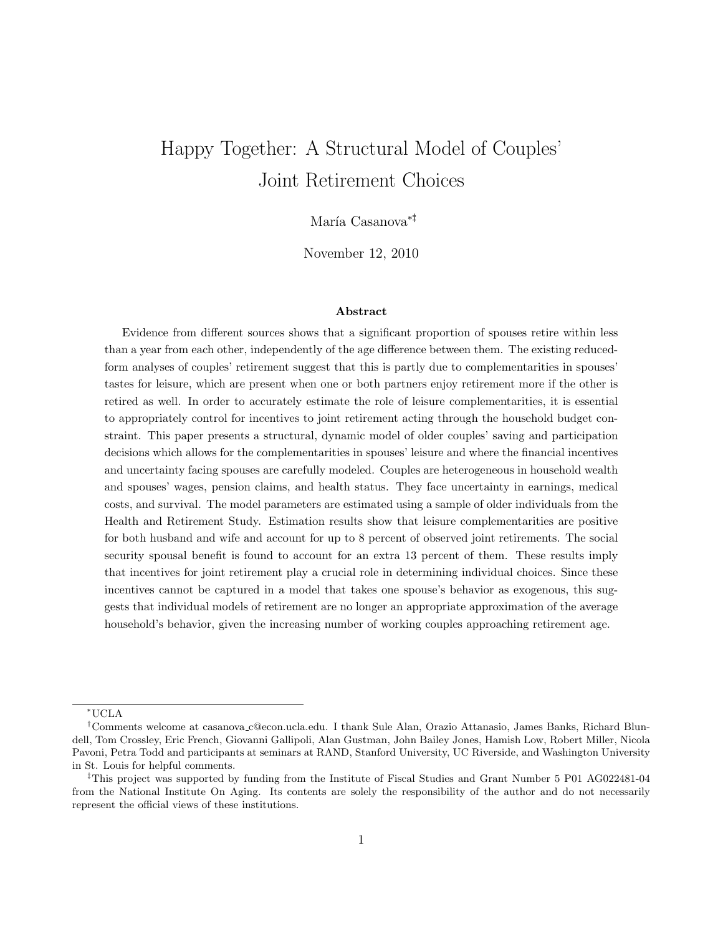# Happy Together: A Structural Model of Couples' Joint Retirement Choices

### María Casanova<sup>∗‡</sup>

November 12, 2010

#### Abstract

Evidence from different sources shows that a significant proportion of spouses retire within less than a year from each other, independently of the age difference between them. The existing reducedform analyses of couples' retirement suggest that this is partly due to complementarities in spouses' tastes for leisure, which are present when one or both partners enjoy retirement more if the other is retired as well. In order to accurately estimate the role of leisure complementarities, it is essential to appropriately control for incentives to joint retirement acting through the household budget constraint. This paper presents a structural, dynamic model of older couples' saving and participation decisions which allows for the complementarities in spouses' leisure and where the financial incentives and uncertainty facing spouses are carefully modeled. Couples are heterogeneous in household wealth and spouses' wages, pension claims, and health status. They face uncertainty in earnings, medical costs, and survival. The model parameters are estimated using a sample of older individuals from the Health and Retirement Study. Estimation results show that leisure complementarities are positive for both husband and wife and account for up to 8 percent of observed joint retirements. The social security spousal benefit is found to account for an extra 13 percent of them. These results imply that incentives for joint retirement play a crucial role in determining individual choices. Since these incentives cannot be captured in a model that takes one spouse's behavior as exogenous, this suggests that individual models of retirement are no longer an appropriate approximation of the average household's behavior, given the increasing number of working couples approaching retirement age.

<sup>∗</sup>UCLA

<sup>†</sup>Comments welcome at casanova c@econ.ucla.edu. I thank Sule Alan, Orazio Attanasio, James Banks, Richard Blundell, Tom Crossley, Eric French, Giovanni Gallipoli, Alan Gustman, John Bailey Jones, Hamish Low, Robert Miller, Nicola Pavoni, Petra Todd and participants at seminars at RAND, Stanford University, UC Riverside, and Washington University in St. Louis for helpful comments.

<sup>‡</sup>This project was supported by funding from the Institute of Fiscal Studies and Grant Number 5 P01 AG022481-04 from the National Institute On Aging. Its contents are solely the responsibility of the author and do not necessarily represent the official views of these institutions.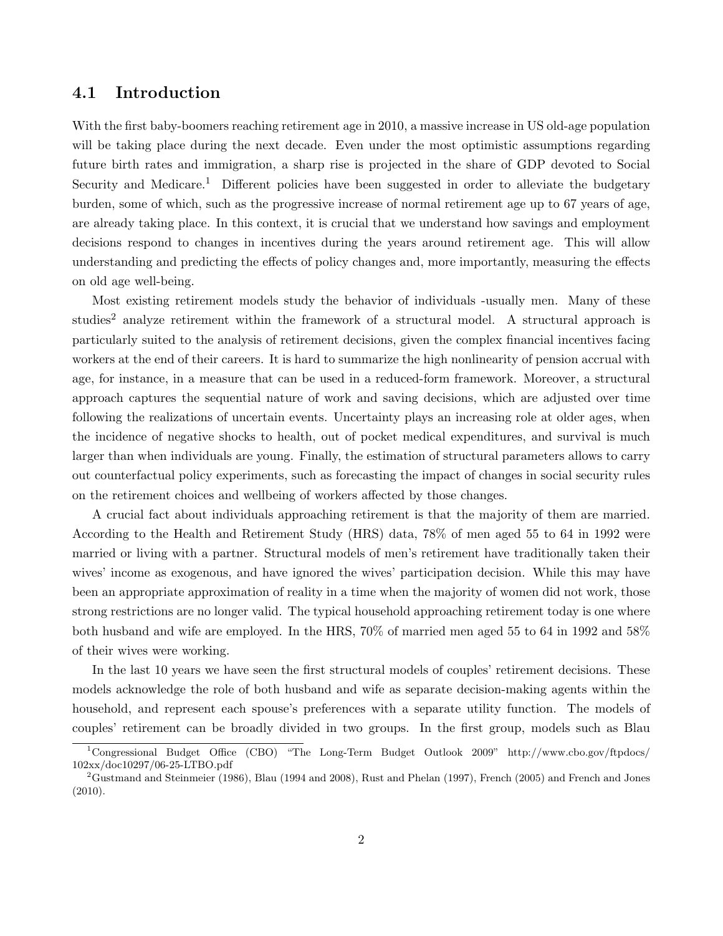### 4.1 Introduction

With the first baby-boomers reaching retirement age in 2010, a massive increase in US old-age population will be taking place during the next decade. Even under the most optimistic assumptions regarding future birth rates and immigration, a sharp rise is projected in the share of GDP devoted to Social Security and Medicare.<sup>1</sup> Different policies have been suggested in order to alleviate the budgetary burden, some of which, such as the progressive increase of normal retirement age up to 67 years of age, are already taking place. In this context, it is crucial that we understand how savings and employment decisions respond to changes in incentives during the years around retirement age. This will allow understanding and predicting the effects of policy changes and, more importantly, measuring the effects on old age well-being.

Most existing retirement models study the behavior of individuals -usually men. Many of these studies<sup>2</sup> analyze retirement within the framework of a structural model. A structural approach is particularly suited to the analysis of retirement decisions, given the complex financial incentives facing workers at the end of their careers. It is hard to summarize the high nonlinearity of pension accrual with age, for instance, in a measure that can be used in a reduced-form framework. Moreover, a structural approach captures the sequential nature of work and saving decisions, which are adjusted over time following the realizations of uncertain events. Uncertainty plays an increasing role at older ages, when the incidence of negative shocks to health, out of pocket medical expenditures, and survival is much larger than when individuals are young. Finally, the estimation of structural parameters allows to carry out counterfactual policy experiments, such as forecasting the impact of changes in social security rules on the retirement choices and wellbeing of workers affected by those changes.

A crucial fact about individuals approaching retirement is that the majority of them are married. According to the Health and Retirement Study (HRS) data, 78% of men aged 55 to 64 in 1992 were married or living with a partner. Structural models of men's retirement have traditionally taken their wives' income as exogenous, and have ignored the wives' participation decision. While this may have been an appropriate approximation of reality in a time when the majority of women did not work, those strong restrictions are no longer valid. The typical household approaching retirement today is one where both husband and wife are employed. In the HRS, 70% of married men aged 55 to 64 in 1992 and 58% of their wives were working.

In the last 10 years we have seen the first structural models of couples' retirement decisions. These models acknowledge the role of both husband and wife as separate decision-making agents within the household, and represent each spouse's preferences with a separate utility function. The models of couples' retirement can be broadly divided in two groups. In the first group, models such as Blau

<sup>1</sup>Congressional Budget Office (CBO) "The Long-Term Budget Outlook 2009" http://www.cbo.gov/ftpdocs/ 102xx/doc10297/06-25-LTBO.pdf

<sup>&</sup>lt;sup>2</sup>Gustmand and Steinmeier (1986), Blau (1994 and 2008), Rust and Phelan (1997), French (2005) and French and Jones (2010).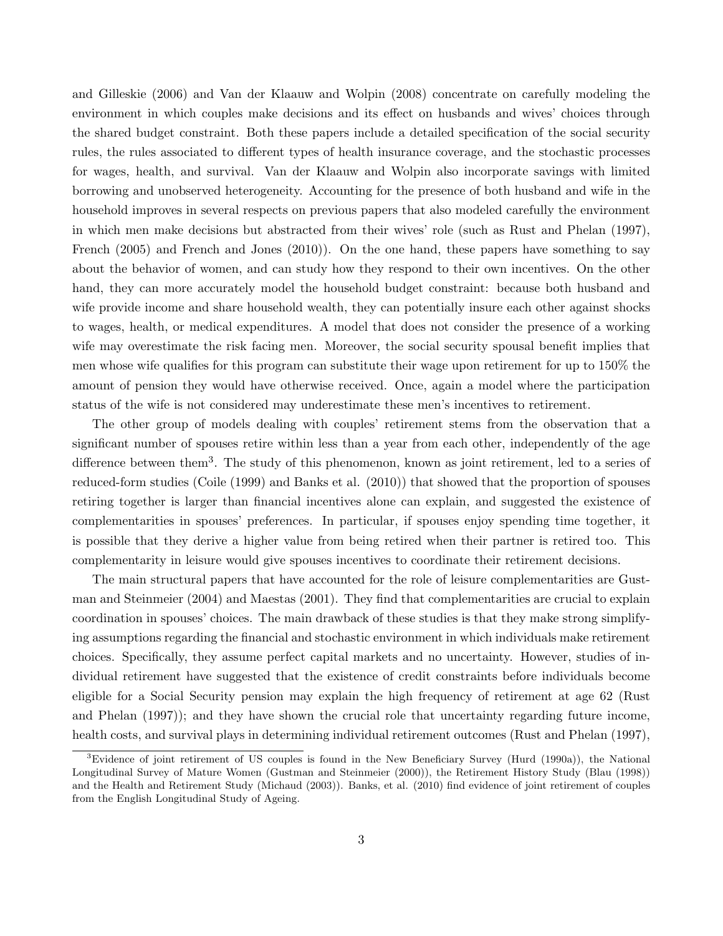and Gilleskie (2006) and Van der Klaauw and Wolpin (2008) concentrate on carefully modeling the environment in which couples make decisions and its effect on husbands and wives' choices through the shared budget constraint. Both these papers include a detailed specification of the social security rules, the rules associated to different types of health insurance coverage, and the stochastic processes for wages, health, and survival. Van der Klaauw and Wolpin also incorporate savings with limited borrowing and unobserved heterogeneity. Accounting for the presence of both husband and wife in the household improves in several respects on previous papers that also modeled carefully the environment in which men make decisions but abstracted from their wives' role (such as Rust and Phelan (1997), French (2005) and French and Jones (2010)). On the one hand, these papers have something to say about the behavior of women, and can study how they respond to their own incentives. On the other hand, they can more accurately model the household budget constraint: because both husband and wife provide income and share household wealth, they can potentially insure each other against shocks to wages, health, or medical expenditures. A model that does not consider the presence of a working wife may overestimate the risk facing men. Moreover, the social security spousal benefit implies that men whose wife qualifies for this program can substitute their wage upon retirement for up to 150% the amount of pension they would have otherwise received. Once, again a model where the participation status of the wife is not considered may underestimate these men's incentives to retirement.

The other group of models dealing with couples' retirement stems from the observation that a significant number of spouses retire within less than a year from each other, independently of the age difference between them<sup>3</sup>. The study of this phenomenon, known as joint retirement, led to a series of reduced-form studies (Coile (1999) and Banks et al. (2010)) that showed that the proportion of spouses retiring together is larger than financial incentives alone can explain, and suggested the existence of complementarities in spouses' preferences. In particular, if spouses enjoy spending time together, it is possible that they derive a higher value from being retired when their partner is retired too. This complementarity in leisure would give spouses incentives to coordinate their retirement decisions.

The main structural papers that have accounted for the role of leisure complementarities are Gustman and Steinmeier (2004) and Maestas (2001). They find that complementarities are crucial to explain coordination in spouses' choices. The main drawback of these studies is that they make strong simplifying assumptions regarding the financial and stochastic environment in which individuals make retirement choices. Specifically, they assume perfect capital markets and no uncertainty. However, studies of individual retirement have suggested that the existence of credit constraints before individuals become eligible for a Social Security pension may explain the high frequency of retirement at age 62 (Rust and Phelan (1997)); and they have shown the crucial role that uncertainty regarding future income, health costs, and survival plays in determining individual retirement outcomes (Rust and Phelan (1997),

<sup>3</sup>Evidence of joint retirement of US couples is found in the New Beneficiary Survey (Hurd (1990a)), the National Longitudinal Survey of Mature Women (Gustman and Steinmeier (2000)), the Retirement History Study (Blau (1998)) and the Health and Retirement Study (Michaud (2003)). Banks, et al. (2010) find evidence of joint retirement of couples from the English Longitudinal Study of Ageing.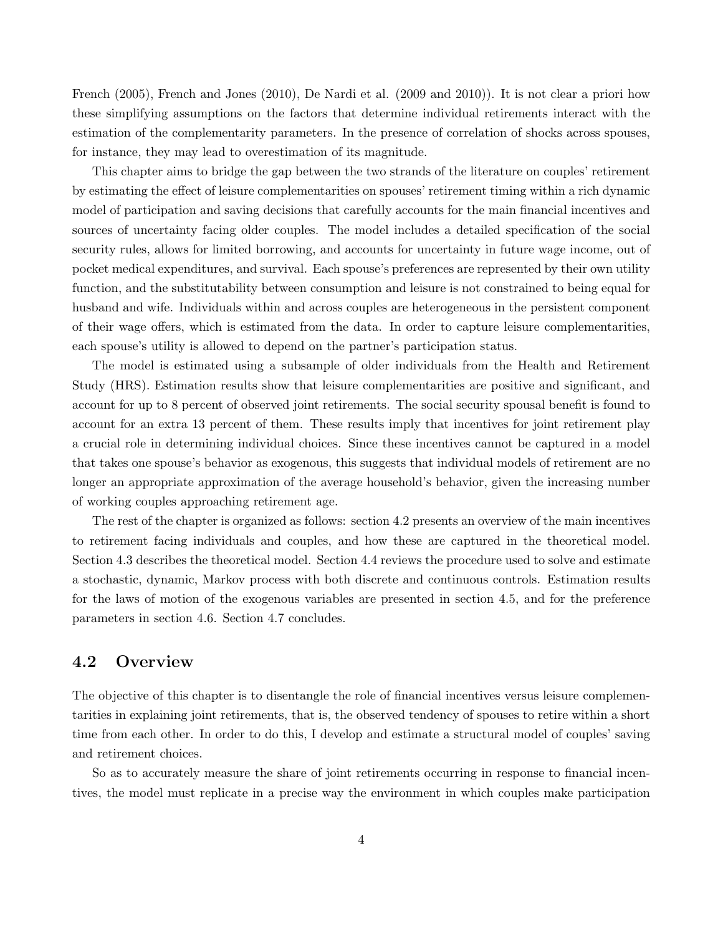French (2005), French and Jones (2010), De Nardi et al. (2009 and 2010)). It is not clear a priori how these simplifying assumptions on the factors that determine individual retirements interact with the estimation of the complementarity parameters. In the presence of correlation of shocks across spouses, for instance, they may lead to overestimation of its magnitude.

This chapter aims to bridge the gap between the two strands of the literature on couples' retirement by estimating the effect of leisure complementarities on spouses' retirement timing within a rich dynamic model of participation and saving decisions that carefully accounts for the main financial incentives and sources of uncertainty facing older couples. The model includes a detailed specification of the social security rules, allows for limited borrowing, and accounts for uncertainty in future wage income, out of pocket medical expenditures, and survival. Each spouse's preferences are represented by their own utility function, and the substitutability between consumption and leisure is not constrained to being equal for husband and wife. Individuals within and across couples are heterogeneous in the persistent component of their wage offers, which is estimated from the data. In order to capture leisure complementarities, each spouse's utility is allowed to depend on the partner's participation status.

The model is estimated using a subsample of older individuals from the Health and Retirement Study (HRS). Estimation results show that leisure complementarities are positive and significant, and account for up to 8 percent of observed joint retirements. The social security spousal benefit is found to account for an extra 13 percent of them. These results imply that incentives for joint retirement play a crucial role in determining individual choices. Since these incentives cannot be captured in a model that takes one spouse's behavior as exogenous, this suggests that individual models of retirement are no longer an appropriate approximation of the average household's behavior, given the increasing number of working couples approaching retirement age.

The rest of the chapter is organized as follows: section 4.2 presents an overview of the main incentives to retirement facing individuals and couples, and how these are captured in the theoretical model. Section 4.3 describes the theoretical model. Section 4.4 reviews the procedure used to solve and estimate a stochastic, dynamic, Markov process with both discrete and continuous controls. Estimation results for the laws of motion of the exogenous variables are presented in section 4.5, and for the preference parameters in section 4.6. Section 4.7 concludes.

### 4.2 Overview

The objective of this chapter is to disentangle the role of financial incentives versus leisure complementarities in explaining joint retirements, that is, the observed tendency of spouses to retire within a short time from each other. In order to do this, I develop and estimate a structural model of couples' saving and retirement choices.

So as to accurately measure the share of joint retirements occurring in response to financial incentives, the model must replicate in a precise way the environment in which couples make participation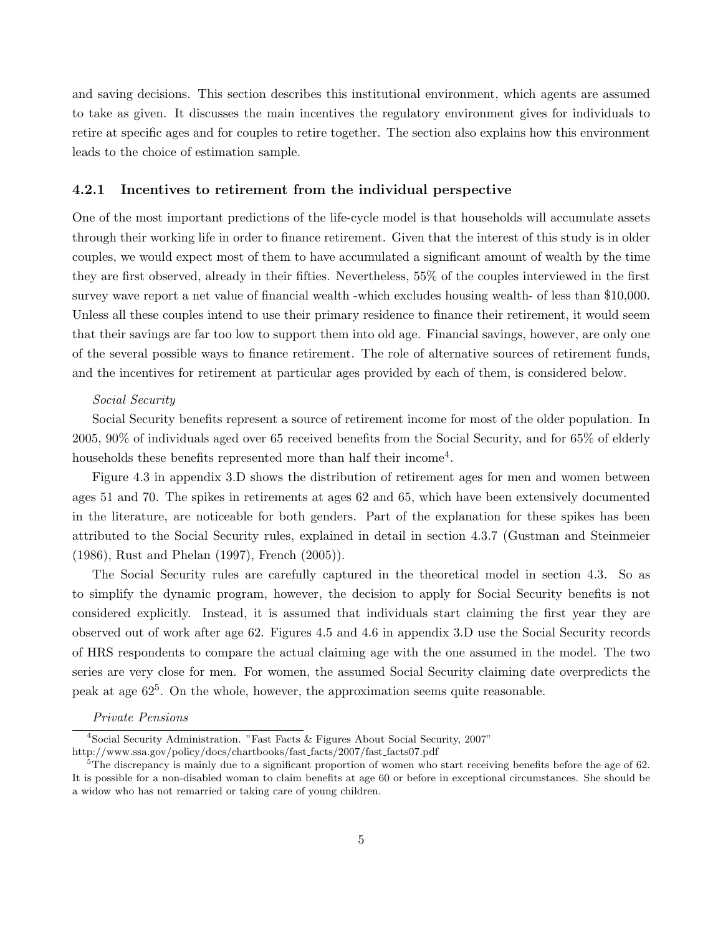and saving decisions. This section describes this institutional environment, which agents are assumed to take as given. It discusses the main incentives the regulatory environment gives for individuals to retire at specific ages and for couples to retire together. The section also explains how this environment leads to the choice of estimation sample.

#### 4.2.1 Incentives to retirement from the individual perspective

One of the most important predictions of the life-cycle model is that households will accumulate assets through their working life in order to finance retirement. Given that the interest of this study is in older couples, we would expect most of them to have accumulated a significant amount of wealth by the time they are first observed, already in their fifties. Nevertheless, 55% of the couples interviewed in the first survey wave report a net value of financial wealth -which excludes housing wealth- of less than \$10,000. Unless all these couples intend to use their primary residence to finance their retirement, it would seem that their savings are far too low to support them into old age. Financial savings, however, are only one of the several possible ways to finance retirement. The role of alternative sources of retirement funds, and the incentives for retirement at particular ages provided by each of them, is considered below.

#### Social Security

Social Security benefits represent a source of retirement income for most of the older population. In 2005, 90% of individuals aged over 65 received benefits from the Social Security, and for 65% of elderly households these benefits represented more than half their income<sup>4</sup>.

Figure 4.3 in appendix 3.D shows the distribution of retirement ages for men and women between ages 51 and 70. The spikes in retirements at ages 62 and 65, which have been extensively documented in the literature, are noticeable for both genders. Part of the explanation for these spikes has been attributed to the Social Security rules, explained in detail in section 4.3.7 (Gustman and Steinmeier (1986), Rust and Phelan (1997), French (2005)).

The Social Security rules are carefully captured in the theoretical model in section 4.3. So as to simplify the dynamic program, however, the decision to apply for Social Security benefits is not considered explicitly. Instead, it is assumed that individuals start claiming the first year they are observed out of work after age 62. Figures 4.5 and 4.6 in appendix 3.D use the Social Security records of HRS respondents to compare the actual claiming age with the one assumed in the model. The two series are very close for men. For women, the assumed Social Security claiming date overpredicts the peak at age  $62^5$ . On the whole, however, the approximation seems quite reasonable.

#### Private Pensions

<sup>4</sup>Social Security Administration. "Fast Facts & Figures About Social Security, 2007" http://www.ssa.gov/policy/docs/chartbooks/fast facts/2007/fast facts07.pdf

 ${}^{5}$ The discrepancy is mainly due to a significant proportion of women who start receiving benefits before the age of 62. It is possible for a non-disabled woman to claim benefits at age 60 or before in exceptional circumstances. She should be a widow who has not remarried or taking care of young children.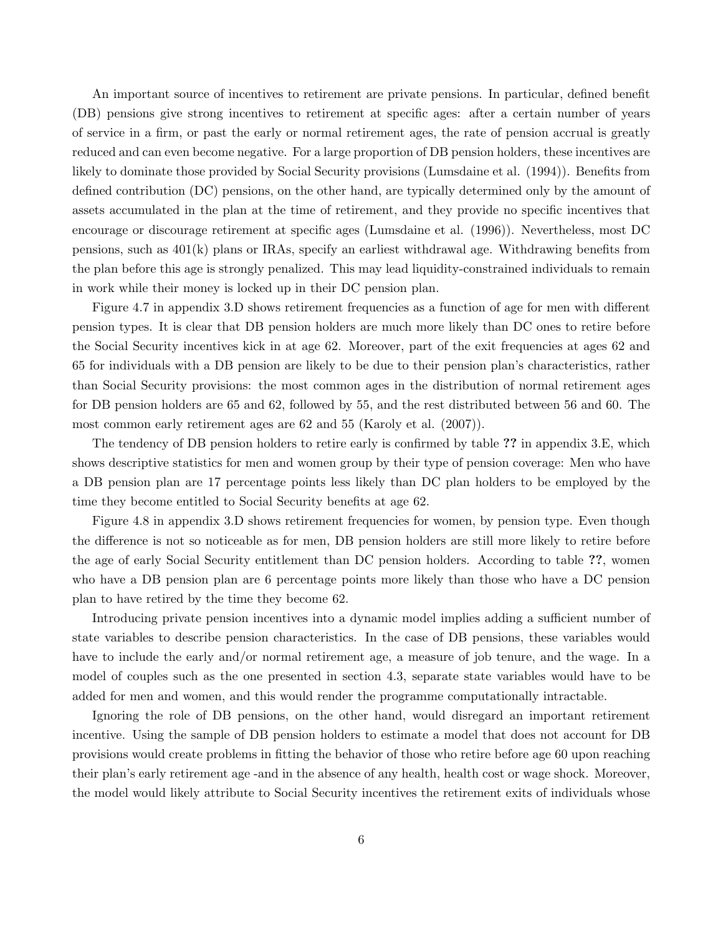An important source of incentives to retirement are private pensions. In particular, defined benefit (DB) pensions give strong incentives to retirement at specific ages: after a certain number of years of service in a firm, or past the early or normal retirement ages, the rate of pension accrual is greatly reduced and can even become negative. For a large proportion of DB pension holders, these incentives are likely to dominate those provided by Social Security provisions (Lumsdaine et al. (1994)). Benefits from defined contribution (DC) pensions, on the other hand, are typically determined only by the amount of assets accumulated in the plan at the time of retirement, and they provide no specific incentives that encourage or discourage retirement at specific ages (Lumsdaine et al. (1996)). Nevertheless, most DC pensions, such as 401(k) plans or IRAs, specify an earliest withdrawal age. Withdrawing benefits from the plan before this age is strongly penalized. This may lead liquidity-constrained individuals to remain in work while their money is locked up in their DC pension plan.

Figure 4.7 in appendix 3.D shows retirement frequencies as a function of age for men with different pension types. It is clear that DB pension holders are much more likely than DC ones to retire before the Social Security incentives kick in at age 62. Moreover, part of the exit frequencies at ages 62 and 65 for individuals with a DB pension are likely to be due to their pension plan's characteristics, rather than Social Security provisions: the most common ages in the distribution of normal retirement ages for DB pension holders are 65 and 62, followed by 55, and the rest distributed between 56 and 60. The most common early retirement ages are 62 and 55 (Karoly et al. (2007)).

The tendency of DB pension holders to retire early is confirmed by table ?? in appendix 3.E, which shows descriptive statistics for men and women group by their type of pension coverage: Men who have a DB pension plan are 17 percentage points less likely than DC plan holders to be employed by the time they become entitled to Social Security benefits at age 62.

Figure 4.8 in appendix 3.D shows retirement frequencies for women, by pension type. Even though the difference is not so noticeable as for men, DB pension holders are still more likely to retire before the age of early Social Security entitlement than DC pension holders. According to table ??, women who have a DB pension plan are 6 percentage points more likely than those who have a DC pension plan to have retired by the time they become 62.

Introducing private pension incentives into a dynamic model implies adding a sufficient number of state variables to describe pension characteristics. In the case of DB pensions, these variables would have to include the early and/or normal retirement age, a measure of job tenure, and the wage. In a model of couples such as the one presented in section 4.3, separate state variables would have to be added for men and women, and this would render the programme computationally intractable.

Ignoring the role of DB pensions, on the other hand, would disregard an important retirement incentive. Using the sample of DB pension holders to estimate a model that does not account for DB provisions would create problems in fitting the behavior of those who retire before age 60 upon reaching their plan's early retirement age -and in the absence of any health, health cost or wage shock. Moreover, the model would likely attribute to Social Security incentives the retirement exits of individuals whose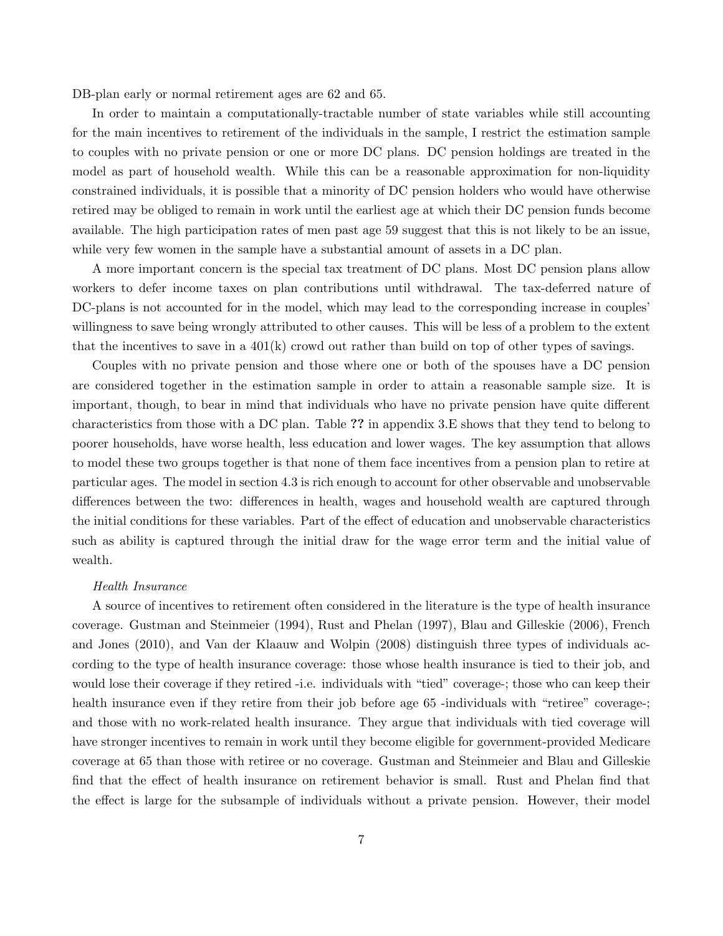DB-plan early or normal retirement ages are 62 and 65.

In order to maintain a computationally-tractable number of state variables while still accounting for the main incentives to retirement of the individuals in the sample, I restrict the estimation sample to couples with no private pension or one or more DC plans. DC pension holdings are treated in the model as part of household wealth. While this can be a reasonable approximation for non-liquidity constrained individuals, it is possible that a minority of DC pension holders who would have otherwise retired may be obliged to remain in work until the earliest age at which their DC pension funds become available. The high participation rates of men past age 59 suggest that this is not likely to be an issue, while very few women in the sample have a substantial amount of assets in a DC plan.

A more important concern is the special tax treatment of DC plans. Most DC pension plans allow workers to defer income taxes on plan contributions until withdrawal. The tax-deferred nature of DC-plans is not accounted for in the model, which may lead to the corresponding increase in couples' willingness to save being wrongly attributed to other causes. This will be less of a problem to the extent that the incentives to save in a  $401(k)$  crowd out rather than build on top of other types of savings.

Couples with no private pension and those where one or both of the spouses have a DC pension are considered together in the estimation sample in order to attain a reasonable sample size. It is important, though, to bear in mind that individuals who have no private pension have quite different characteristics from those with a DC plan. Table ?? in appendix 3.E shows that they tend to belong to poorer households, have worse health, less education and lower wages. The key assumption that allows to model these two groups together is that none of them face incentives from a pension plan to retire at particular ages. The model in section 4.3 is rich enough to account for other observable and unobservable differences between the two: differences in health, wages and household wealth are captured through the initial conditions for these variables. Part of the effect of education and unobservable characteristics such as ability is captured through the initial draw for the wage error term and the initial value of wealth.

#### Health Insurance

A source of incentives to retirement often considered in the literature is the type of health insurance coverage. Gustman and Steinmeier (1994), Rust and Phelan (1997), Blau and Gilleskie (2006), French and Jones (2010), and Van der Klaauw and Wolpin (2008) distinguish three types of individuals according to the type of health insurance coverage: those whose health insurance is tied to their job, and would lose their coverage if they retired -i.e. individuals with "tied" coverage-; those who can keep their health insurance even if they retire from their job before age 65-individuals with "retiree" coverage-; and those with no work-related health insurance. They argue that individuals with tied coverage will have stronger incentives to remain in work until they become eligible for government-provided Medicare coverage at 65 than those with retiree or no coverage. Gustman and Steinmeier and Blau and Gilleskie find that the effect of health insurance on retirement behavior is small. Rust and Phelan find that the effect is large for the subsample of individuals without a private pension. However, their model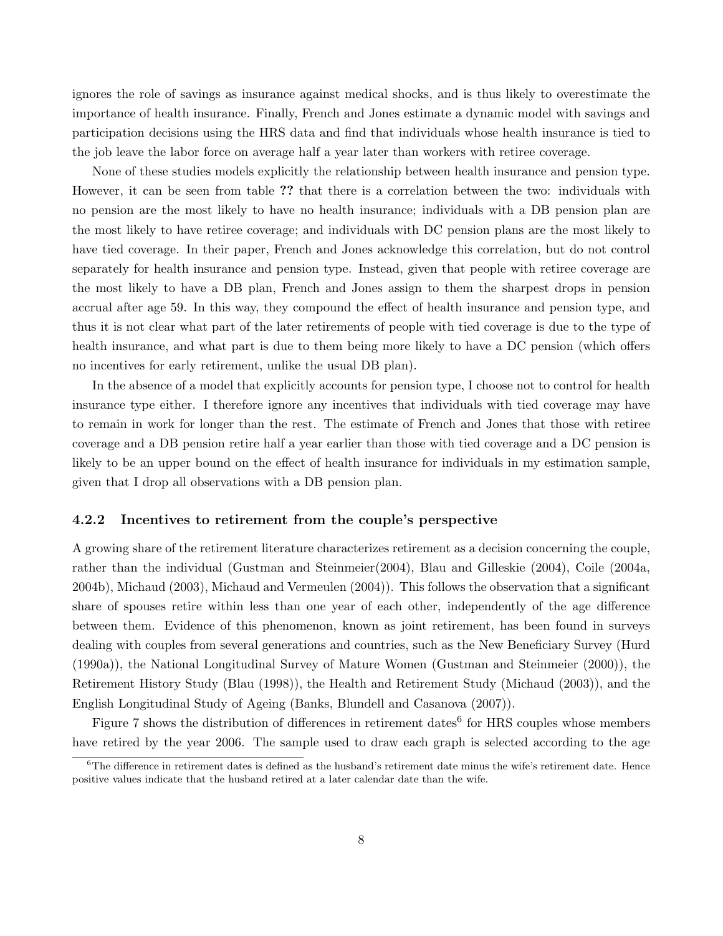ignores the role of savings as insurance against medical shocks, and is thus likely to overestimate the importance of health insurance. Finally, French and Jones estimate a dynamic model with savings and participation decisions using the HRS data and find that individuals whose health insurance is tied to the job leave the labor force on average half a year later than workers with retiree coverage.

None of these studies models explicitly the relationship between health insurance and pension type. However, it can be seen from table ?? that there is a correlation between the two: individuals with no pension are the most likely to have no health insurance; individuals with a DB pension plan are the most likely to have retiree coverage; and individuals with DC pension plans are the most likely to have tied coverage. In their paper, French and Jones acknowledge this correlation, but do not control separately for health insurance and pension type. Instead, given that people with retiree coverage are the most likely to have a DB plan, French and Jones assign to them the sharpest drops in pension accrual after age 59. In this way, they compound the effect of health insurance and pension type, and thus it is not clear what part of the later retirements of people with tied coverage is due to the type of health insurance, and what part is due to them being more likely to have a DC pension (which offers no incentives for early retirement, unlike the usual DB plan).

In the absence of a model that explicitly accounts for pension type, I choose not to control for health insurance type either. I therefore ignore any incentives that individuals with tied coverage may have to remain in work for longer than the rest. The estimate of French and Jones that those with retiree coverage and a DB pension retire half a year earlier than those with tied coverage and a DC pension is likely to be an upper bound on the effect of health insurance for individuals in my estimation sample, given that I drop all observations with a DB pension plan.

#### 4.2.2 Incentives to retirement from the couple's perspective

A growing share of the retirement literature characterizes retirement as a decision concerning the couple, rather than the individual (Gustman and Steinmeier(2004), Blau and Gilleskie (2004), Coile (2004a, 2004b), Michaud (2003), Michaud and Vermeulen (2004)). This follows the observation that a significant share of spouses retire within less than one year of each other, independently of the age difference between them. Evidence of this phenomenon, known as joint retirement, has been found in surveys dealing with couples from several generations and countries, such as the New Beneficiary Survey (Hurd (1990a)), the National Longitudinal Survey of Mature Women (Gustman and Steinmeier (2000)), the Retirement History Study (Blau (1998)), the Health and Retirement Study (Michaud (2003)), and the English Longitudinal Study of Ageing (Banks, Blundell and Casanova (2007)).

Figure 7 shows the distribution of differences in retirement dates<sup>6</sup> for HRS couples whose members have retired by the year 2006. The sample used to draw each graph is selected according to the age

 $6$ The difference in retirement dates is defined as the husband's retirement date minus the wife's retirement date. Hence positive values indicate that the husband retired at a later calendar date than the wife.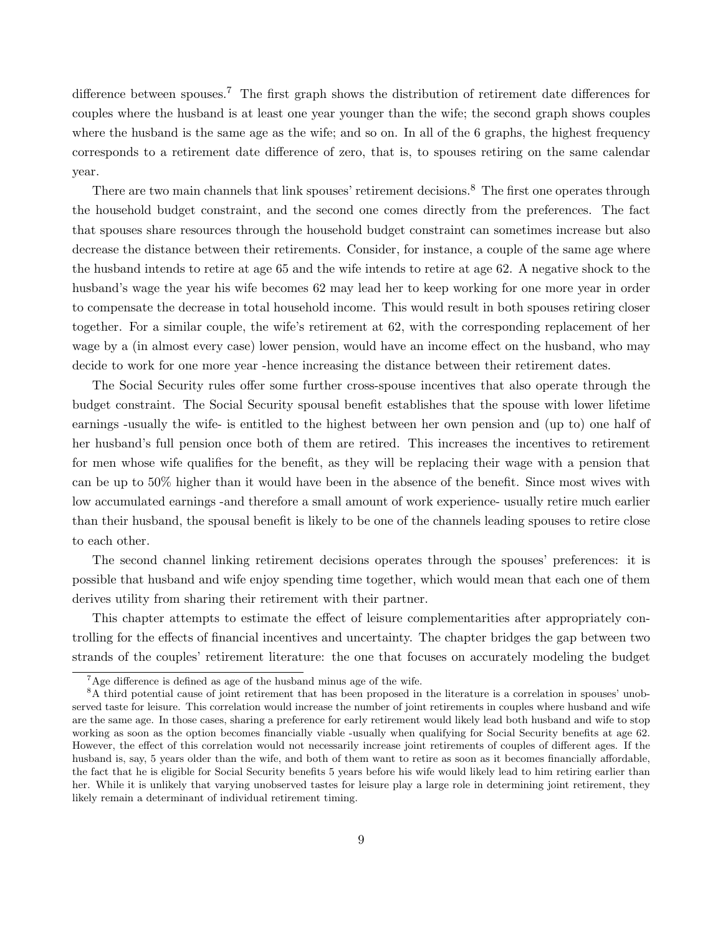difference between spouses.<sup>7</sup> The first graph shows the distribution of retirement date differences for couples where the husband is at least one year younger than the wife; the second graph shows couples where the husband is the same age as the wife; and so on. In all of the 6 graphs, the highest frequency corresponds to a retirement date difference of zero, that is, to spouses retiring on the same calendar year.

There are two main channels that link spouses' retirement decisions.<sup>8</sup> The first one operates through the household budget constraint, and the second one comes directly from the preferences. The fact that spouses share resources through the household budget constraint can sometimes increase but also decrease the distance between their retirements. Consider, for instance, a couple of the same age where the husband intends to retire at age 65 and the wife intends to retire at age 62. A negative shock to the husband's wage the year his wife becomes 62 may lead her to keep working for one more year in order to compensate the decrease in total household income. This would result in both spouses retiring closer together. For a similar couple, the wife's retirement at 62, with the corresponding replacement of her wage by a (in almost every case) lower pension, would have an income effect on the husband, who may decide to work for one more year -hence increasing the distance between their retirement dates.

The Social Security rules offer some further cross-spouse incentives that also operate through the budget constraint. The Social Security spousal benefit establishes that the spouse with lower lifetime earnings -usually the wife- is entitled to the highest between her own pension and (up to) one half of her husband's full pension once both of them are retired. This increases the incentives to retirement for men whose wife qualifies for the benefit, as they will be replacing their wage with a pension that can be up to 50% higher than it would have been in the absence of the benefit. Since most wives with low accumulated earnings -and therefore a small amount of work experience- usually retire much earlier than their husband, the spousal benefit is likely to be one of the channels leading spouses to retire close to each other.

The second channel linking retirement decisions operates through the spouses' preferences: it is possible that husband and wife enjoy spending time together, which would mean that each one of them derives utility from sharing their retirement with their partner.

This chapter attempts to estimate the effect of leisure complementarities after appropriately controlling for the effects of financial incentives and uncertainty. The chapter bridges the gap between two strands of the couples' retirement literature: the one that focuses on accurately modeling the budget

<sup>7</sup>Age difference is defined as age of the husband minus age of the wife.

<sup>8</sup>A third potential cause of joint retirement that has been proposed in the literature is a correlation in spouses' unobserved taste for leisure. This correlation would increase the number of joint retirements in couples where husband and wife are the same age. In those cases, sharing a preference for early retirement would likely lead both husband and wife to stop working as soon as the option becomes financially viable -usually when qualifying for Social Security benefits at age 62. However, the effect of this correlation would not necessarily increase joint retirements of couples of different ages. If the husband is, say, 5 years older than the wife, and both of them want to retire as soon as it becomes financially affordable, the fact that he is eligible for Social Security benefits 5 years before his wife would likely lead to him retiring earlier than her. While it is unlikely that varying unobserved tastes for leisure play a large role in determining joint retirement, they likely remain a determinant of individual retirement timing.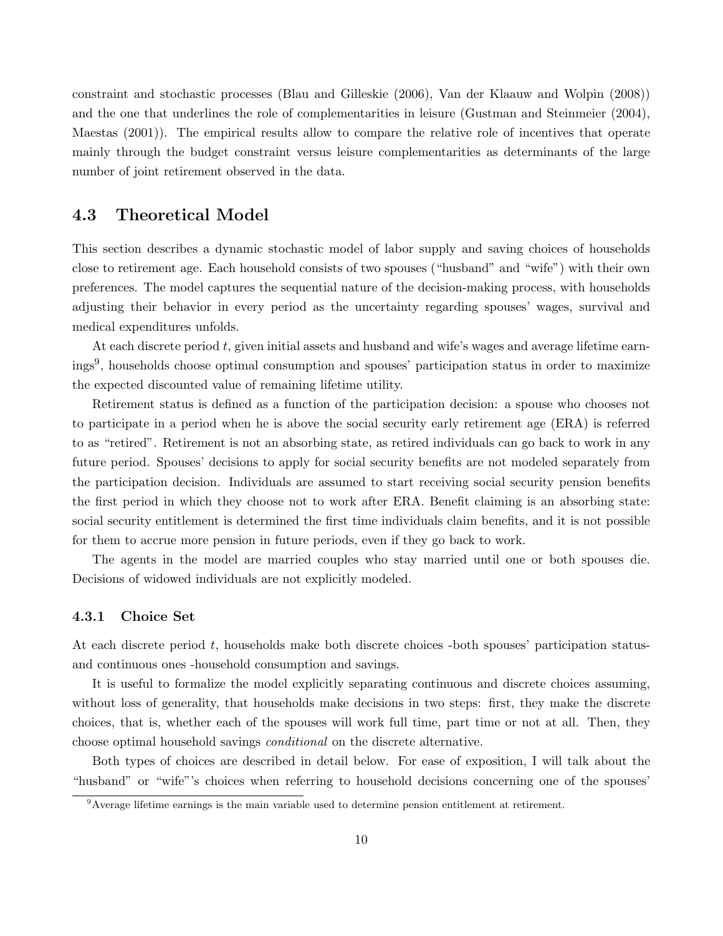constraint and stochastic processes (Blau and Gilleskie (2006), Van der Klaauw and Wolpin (2008)) and the one that underlines the role of complementarities in leisure (Gustman and Steinmeier (2004), Maestas (2001)). The empirical results allow to compare the relative role of incentives that operate mainly through the budget constraint versus leisure complementarities as determinants of the large number of joint retirement observed in the data.

# 4.3 Theoretical Model

This section describes a dynamic stochastic model of labor supply and saving choices of households close to retirement age. Each household consists of two spouses ("husband" and "wife") with their own preferences. The model captures the sequential nature of the decision-making process, with households adjusting their behavior in every period as the uncertainty regarding spouses' wages, survival and medical expenditures unfolds.

At each discrete period t, given initial assets and husband and wife's wages and average lifetime earnings<sup>9</sup> , households choose optimal consumption and spouses' participation status in order to maximize the expected discounted value of remaining lifetime utility.

Retirement status is defined as a function of the participation decision: a spouse who chooses not to participate in a period when he is above the social security early retirement age (ERA) is referred to as "retired". Retirement is not an absorbing state, as retired individuals can go back to work in any future period. Spouses' decisions to apply for social security benefits are not modeled separately from the participation decision. Individuals are assumed to start receiving social security pension benefits the first period in which they choose not to work after ERA. Benefit claiming is an absorbing state: social security entitlement is determined the first time individuals claim benefits, and it is not possible for them to accrue more pension in future periods, even if they go back to work.

The agents in the model are married couples who stay married until one or both spouses die. Decisions of widowed individuals are not explicitly modeled.

#### 4.3.1 Choice Set

At each discrete period  $t$ , households make both discrete choices -both spouses' participation statusand continuous ones -household consumption and savings.

It is useful to formalize the model explicitly separating continuous and discrete choices assuming, without loss of generality, that households make decisions in two steps: first, they make the discrete choices, that is, whether each of the spouses will work full time, part time or not at all. Then, they choose optimal household savings conditional on the discrete alternative.

Both types of choices are described in detail below. For ease of exposition, I will talk about the "husband" or "wife"'s choices when referring to household decisions concerning one of the spouses'

<sup>9</sup>Average lifetime earnings is the main variable used to determine pension entitlement at retirement.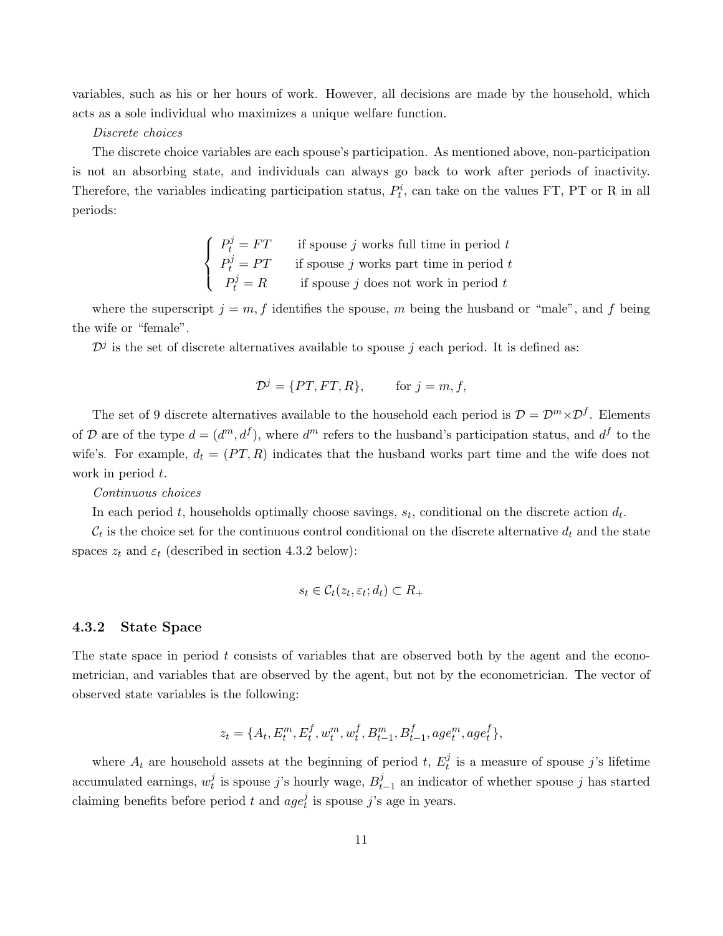variables, such as his or her hours of work. However, all decisions are made by the household, which acts as a sole individual who maximizes a unique welfare function.

#### Discrete choices

The discrete choice variables are each spouse's participation. As mentioned above, non-participation is not an absorbing state, and individuals can always go back to work after periods of inactivity. Therefore, the variables indicating participation status,  $P_t^i$ , can take on the values FT, PT or R in all periods:

> $\sqrt{ }$  $\int$  $\mathcal{L}$  $P_t^j = FT$  if spouse j works full time in period t  $P_t^j = PT$  if spouse j works part time in period t  $P_t^j = R$  if spouse j does not work in period t

where the superscript  $j = m, f$  identifies the spouse, m being the husband or "male", and f being the wife or "female".

 $\mathcal{D}^j$  is the set of discrete alternatives available to spouse j each period. It is defined as:

$$
\mathcal{D}^j = \{PT, FT, R\}, \qquad \text{for } j = m, f,
$$

The set of 9 discrete alternatives available to the household each period is  $\mathcal{D} = \mathcal{D}^m \times \mathcal{D}^f$ . Elements of D are of the type  $d = (d^m, d^f)$ , where  $d^m$  refers to the husband's participation status, and  $d^f$  to the wife's. For example,  $d_t = (PT, R)$  indicates that the husband works part time and the wife does not work in period t.

Continuous choices

In each period t, households optimally choose savings,  $s_t$ , conditional on the discrete action  $d_t$ .

 $\mathcal{C}_t$  is the choice set for the continuous control conditional on the discrete alternative  $d_t$  and the state spaces  $z_t$  and  $\varepsilon_t$  (described in section 4.3.2 below):

$$
s_t \in \mathcal{C}_t(z_t, \varepsilon_t; d_t) \subset R_+
$$

#### 4.3.2 State Space

The state space in period  $t$  consists of variables that are observed both by the agent and the econometrician, and variables that are observed by the agent, but not by the econometrician. The vector of observed state variables is the following:

$$
z_t = \{A_t, E_t^m, E_t^f, w_t^m, w_t^f, B_{t-1}^m, B_{t-1}^f, age_t^m, age_t^f\},\
$$

where  $A_t$  are household assets at the beginning of period t,  $E_t^j$  $t_i^j$  is a measure of spouse j's lifetime accumulated earnings,  $w_t^j$  $t$ <sup>*i*</sup> is spouse *j*'s hourly wage,  $B_t^j$  $t_{t-1}$  an indicator of whether spouse j has started claiming benefits before period t and  $age_t^j$  $t_i$  is spouse j's age in years.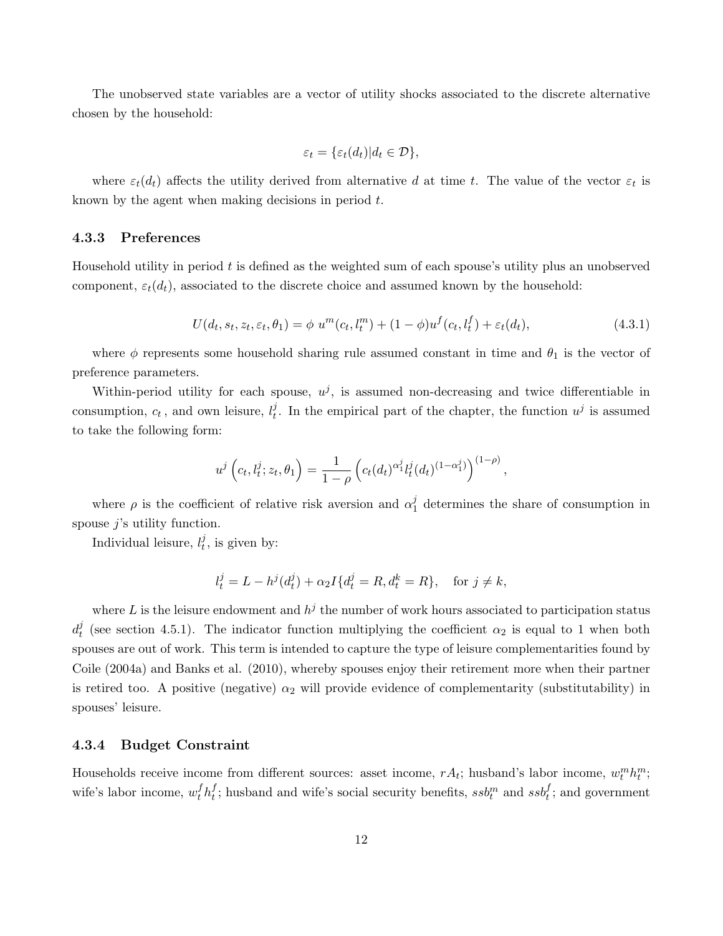The unobserved state variables are a vector of utility shocks associated to the discrete alternative chosen by the household:

$$
\varepsilon_t = \{\varepsilon_t(d_t)|d_t \in \mathcal{D}\},\
$$

where  $\varepsilon_t(d_t)$  affects the utility derived from alternative d at time t. The value of the vector  $\varepsilon_t$  is known by the agent when making decisions in period t.

#### 4.3.3 Preferences

Household utility in period t is defined as the weighted sum of each spouse's utility plus an unobserved component,  $\varepsilon_t(d_t)$ , associated to the discrete choice and assumed known by the household:

$$
U(d_t, s_t, z_t, \varepsilon_t, \theta_1) = \phi \ u^m(c_t, l_t^m) + (1 - \phi) u^f(c_t, l_t^f) + \varepsilon_t(d_t), \tag{4.3.1}
$$

where  $\phi$  represents some household sharing rule assumed constant in time and  $\theta_1$  is the vector of preference parameters.

Within-period utility for each spouse,  $u^j$ , is assumed non-decreasing and twice differentiable in consumption,  $c_t$ , and own leisure,  $l_t^j$  $\mu$ . In the empirical part of the chapter, the function  $u^j$  is assumed to take the following form:

$$
u^{j}\left(c_{t},l_{t}^{j};z_{t},\theta_{1}\right)=\frac{1}{1-\rho}\left(c_{t}(d_{t})^{\alpha_{1}^{j}}l_{t}^{j}(d_{t})^{(1-\alpha_{1}^{j})}\right)^{(1-\rho)},
$$

where  $\rho$  is the coefficient of relative risk aversion and  $\alpha_1^j$  $\frac{1}{1}$  determines the share of consumption in spouse  $i$ 's utility function.

Individual leisure,  $l_t^j$  $t^j$ , is given by:

$$
l_t^j = L - h^j(d_t^j) + \alpha_2 I\{d_t^j = R, d_t^k = R\}, \quad \text{for } j \neq k,
$$

where L is the leisure endowment and  $h^j$  the number of work hours associated to participation status  $d^j_t$ <sup>f</sup> (see section 4.5.1). The indicator function multiplying the coefficient  $\alpha_2$  is equal to 1 when both spouses are out of work. This term is intended to capture the type of leisure complementarities found by Coile (2004a) and Banks et al. (2010), whereby spouses enjoy their retirement more when their partner is retired too. A positive (negative)  $\alpha_2$  will provide evidence of complementarity (substitutability) in spouses' leisure.

#### 4.3.4 Budget Constraint

Households receive income from different sources: asset income,  $rA_t$ ; husband's labor income,  $w_t^mh_t^m$ ; wife's labor income,  $w_t^f h_t^f$  $_t^f$ ; husband and wife's social security benefits,  $s s b_t^m$  and  $s s b_t^f$ ; and government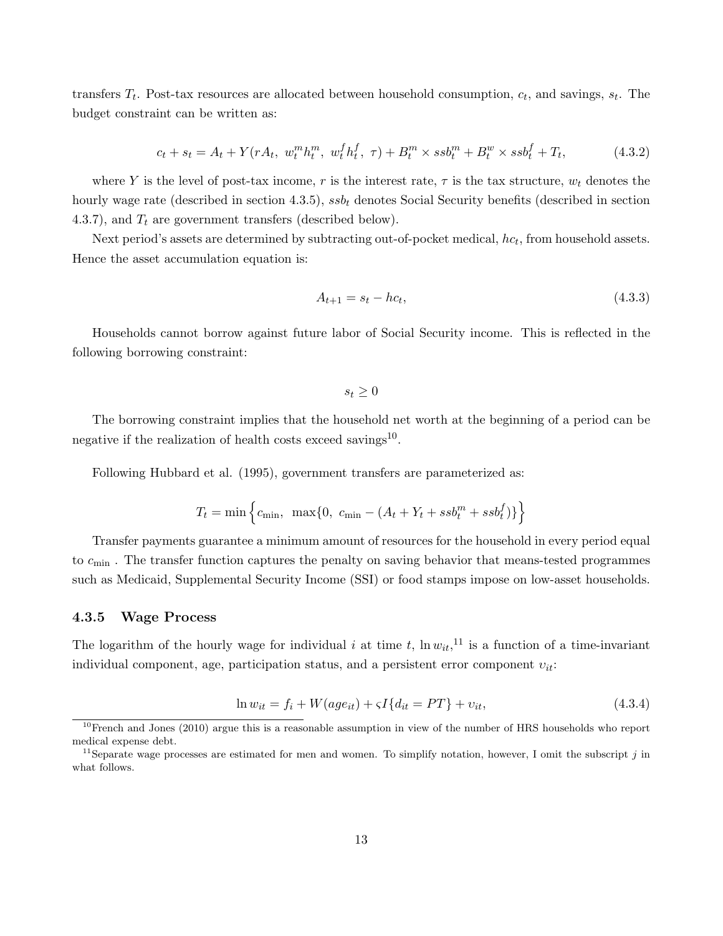transfers  $T_t$ . Post-tax resources are allocated between household consumption,  $c_t$ , and savings,  $s_t$ . The budget constraint can be written as:

$$
c_t + s_t = A_t + Y(rA_t, w_t^m h_t^m, w_t^f h_t^f, \tau) + B_t^m \times s s b_t^m + B_t^w \times s s b_t^f + T_t,
$$
\n(4.3.2)

where Y is the level of post-tax income, r is the interest rate,  $\tau$  is the tax structure,  $w_t$  denotes the hourly wage rate (described in section 4.3.5),  $s s b_t$  denotes Social Security benefits (described in section 4.3.7), and  $T_t$  are government transfers (described below).

Next period's assets are determined by subtracting out-of-pocket medical,  $hc_t$ , from household assets. Hence the asset accumulation equation is:

$$
A_{t+1} = s_t - hc_t, \t\t(4.3.3)
$$

Households cannot borrow against future labor of Social Security income. This is reflected in the following borrowing constraint:

 $s_t > 0$ 

The borrowing constraint implies that the household net worth at the beginning of a period can be negative if the realization of health costs exceed savings<sup>10</sup>.

Following Hubbard et al. (1995), government transfers are parameterized as:

$$
T_t = \min\left\{c_{\min}, \ \max\{0, \ c_{\min} - (A_t + Y_t + s s b_t^m + s s b_t^f)\}\right\}
$$

Transfer payments guarantee a minimum amount of resources for the household in every period equal to  $c_{\text{min}}$ . The transfer function captures the penalty on saving behavior that means-tested programmes such as Medicaid, Supplemental Security Income (SSI) or food stamps impose on low-asset households.

#### 4.3.5 Wage Process

The logarithm of the hourly wage for individual i at time t,  $\ln w_{it}$ , <sup>11</sup> is a function of a time-invariant individual component, age, participation status, and a persistent error component  $v_{it}$ :

$$
\ln w_{it} = f_i + W(age_{it}) + \varsigma I\{d_{it} = PT\} + v_{it},\tag{4.3.4}
$$

 $10$ French and Jones (2010) argue this is a reasonable assumption in view of the number of HRS households who report medical expense debt.

<sup>&</sup>lt;sup>11</sup>Separate wage processes are estimated for men and women. To simplify notation, however, I omit the subscript  $j$  in what follows.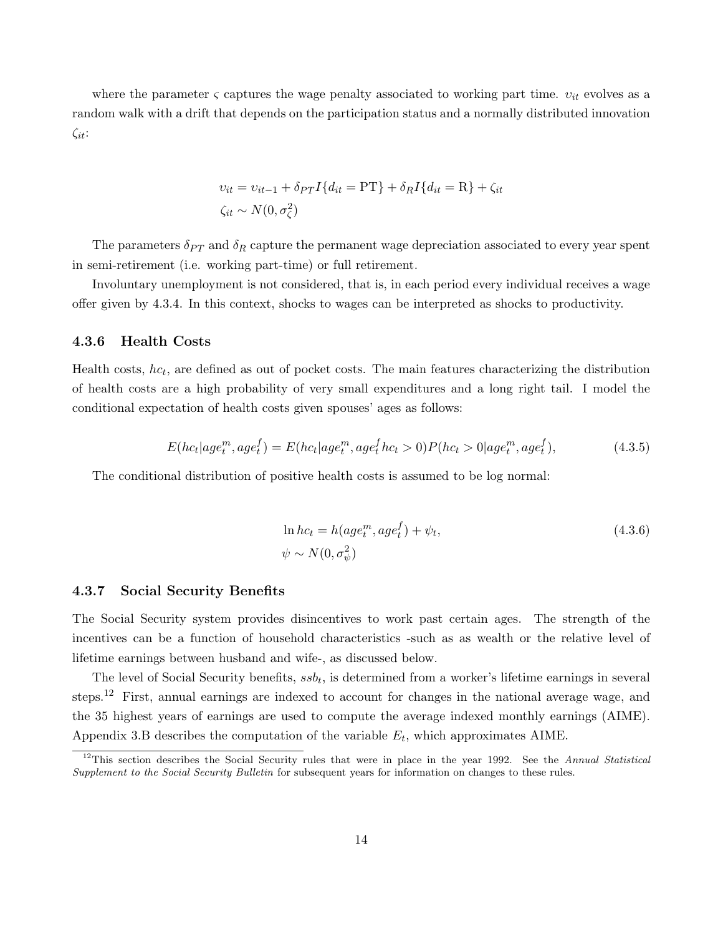where the parameter  $\varsigma$  captures the wage penalty associated to working part time.  $v_{it}$  evolves as a random walk with a drift that depends on the participation status and a normally distributed innovation  $\zeta_{it}$ :

$$
v_{it} = v_{it-1} + \delta_{PT} I \{ d_{it} = PT \} + \delta_R I \{ d_{it} = R \} + \zeta_{it}
$$
  

$$
\zeta_{it} \sim N(0, \sigma_{\zeta}^2)
$$

The parameters  $\delta_{PT}$  and  $\delta_R$  capture the permanent wage depreciation associated to every year spent in semi-retirement (i.e. working part-time) or full retirement.

Involuntary unemployment is not considered, that is, in each period every individual receives a wage offer given by 4.3.4. In this context, shocks to wages can be interpreted as shocks to productivity.

#### 4.3.6 Health Costs

Health costs,  $hc_t$ , are defined as out of pocket costs. The main features characterizing the distribution of health costs are a high probability of very small expenditures and a long right tail. I model the conditional expectation of health costs given spouses' ages as follows:

$$
E(hc_t|age_t^m, age_t^f) = E(hc_t|age_t^m, age_t^f h c_t > 0)P(hc_t > 0|age_t^m, age_t^f),
$$
\n(4.3.5)

The conditional distribution of positive health costs is assumed to be log normal:

$$
\ln hc_t = h(age_t^m, age_t^f) + \psi_t,
$$
  
\n
$$
\psi \sim N(0, \sigma_\psi^2)
$$
\n(4.3.6)

#### 4.3.7 Social Security Benefits

The Social Security system provides disincentives to work past certain ages. The strength of the incentives can be a function of household characteristics -such as as wealth or the relative level of lifetime earnings between husband and wife-, as discussed below.

The level of Social Security benefits,  $s s b_t$ , is determined from a worker's lifetime earnings in several steps.<sup>12</sup> First, annual earnings are indexed to account for changes in the national average wage, and the 35 highest years of earnings are used to compute the average indexed monthly earnings (AIME). Appendix 3.B describes the computation of the variable  $E_t$ , which approximates AIME.

 $12$ This section describes the Social Security rules that were in place in the year 1992. See the Annual Statistical Supplement to the Social Security Bulletin for subsequent years for information on changes to these rules.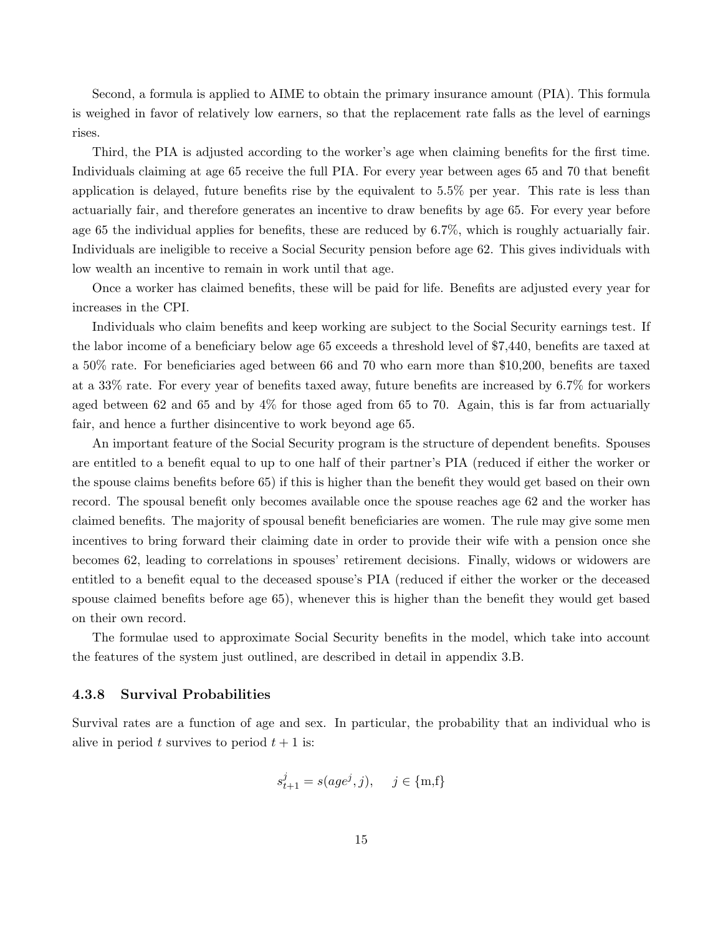Second, a formula is applied to AIME to obtain the primary insurance amount (PIA). This formula is weighed in favor of relatively low earners, so that the replacement rate falls as the level of earnings rises.

Third, the PIA is adjusted according to the worker's age when claiming benefits for the first time. Individuals claiming at age 65 receive the full PIA. For every year between ages 65 and 70 that benefit application is delayed, future benefits rise by the equivalent to 5.5% per year. This rate is less than actuarially fair, and therefore generates an incentive to draw benefits by age 65. For every year before age 65 the individual applies for benefits, these are reduced by 6.7%, which is roughly actuarially fair. Individuals are ineligible to receive a Social Security pension before age 62. This gives individuals with low wealth an incentive to remain in work until that age.

Once a worker has claimed benefits, these will be paid for life. Benefits are adjusted every year for increases in the CPI.

Individuals who claim benefits and keep working are subject to the Social Security earnings test. If the labor income of a beneficiary below age 65 exceeds a threshold level of \$7,440, benefits are taxed at a 50% rate. For beneficiaries aged between 66 and 70 who earn more than \$10,200, benefits are taxed at a 33% rate. For every year of benefits taxed away, future benefits are increased by 6.7% for workers aged between 62 and 65 and by  $4\%$  for those aged from 65 to 70. Again, this is far from actuarially fair, and hence a further disincentive to work beyond age 65.

An important feature of the Social Security program is the structure of dependent benefits. Spouses are entitled to a benefit equal to up to one half of their partner's PIA (reduced if either the worker or the spouse claims benefits before 65) if this is higher than the benefit they would get based on their own record. The spousal benefit only becomes available once the spouse reaches age 62 and the worker has claimed benefits. The majority of spousal benefit beneficiaries are women. The rule may give some men incentives to bring forward their claiming date in order to provide their wife with a pension once she becomes 62, leading to correlations in spouses' retirement decisions. Finally, widows or widowers are entitled to a benefit equal to the deceased spouse's PIA (reduced if either the worker or the deceased spouse claimed benefits before age 65), whenever this is higher than the benefit they would get based on their own record.

The formulae used to approximate Social Security benefits in the model, which take into account the features of the system just outlined, are described in detail in appendix 3.B.

#### 4.3.8 Survival Probabilities

Survival rates are a function of age and sex. In particular, the probability that an individual who is alive in period t survives to period  $t + 1$  is:

$$
s^j_{t+1} = s(age^j,j), \quad j \in \{\text{m,f}\}
$$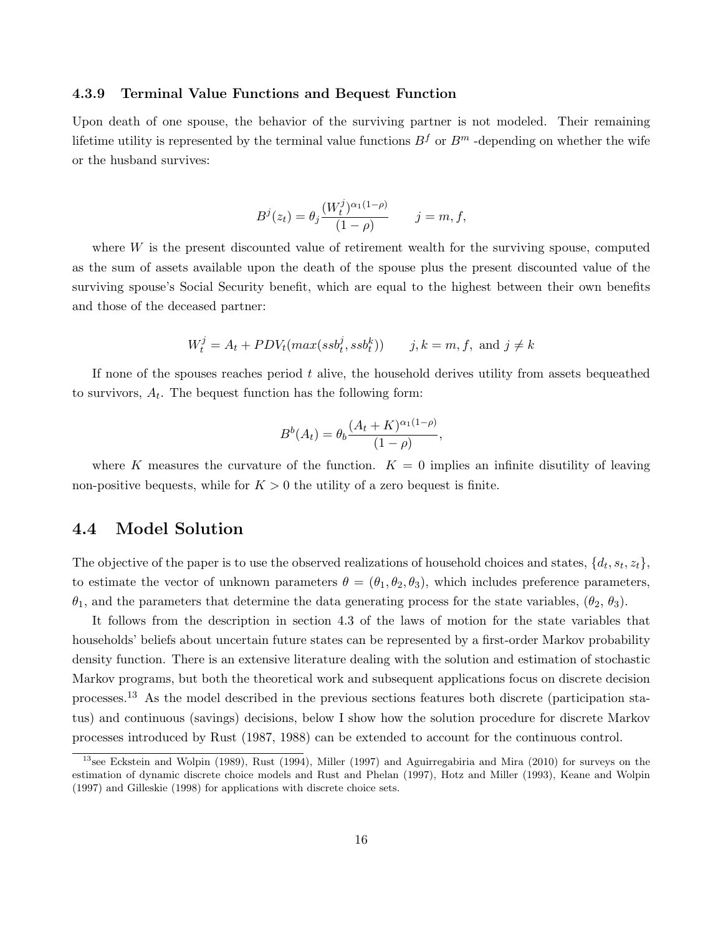#### 4.3.9 Terminal Value Functions and Bequest Function

Upon death of one spouse, the behavior of the surviving partner is not modeled. Their remaining lifetime utility is represented by the terminal value functions  $B^f$  or  $B^m$  -depending on whether the wife or the husband survives:

$$
B^{j}(z_t) = \theta_j \frac{(W_t^{j})^{\alpha_1(1-\rho)}}{(1-\rho)} \qquad j = m, f,
$$

where W is the present discounted value of retirement wealth for the surviving spouse, computed as the sum of assets available upon the death of the spouse plus the present discounted value of the surviving spouse's Social Security benefit, which are equal to the highest between their own benefits and those of the deceased partner:

$$
W_t^j = A_t + PDV_t(max(ssb_t^j, ssb_t^k)) \qquad j, k = m, f, \text{ and } j \neq k
$$

If none of the spouses reaches period  $t$  alive, the household derives utility from assets bequeathed to survivors,  $A_t$ . The bequest function has the following form:

$$
B^{b}(A_{t}) = \theta_{b} \frac{(A_{t} + K)^{\alpha_{1}(1-\rho)}}{(1-\rho)},
$$

where K measures the curvature of the function.  $K = 0$  implies an infinite disutility of leaving non-positive bequests, while for  $K > 0$  the utility of a zero bequest is finite.

### 4.4 Model Solution

The objective of the paper is to use the observed realizations of household choices and states,  $\{d_t, s_t, z_t\}$ , to estimate the vector of unknown parameters  $\theta = (\theta_1, \theta_2, \theta_3)$ , which includes preference parameters,  $\theta_1$ , and the parameters that determine the data generating process for the state variables,  $(\theta_2, \theta_3)$ .

It follows from the description in section 4.3 of the laws of motion for the state variables that households' beliefs about uncertain future states can be represented by a first-order Markov probability density function. There is an extensive literature dealing with the solution and estimation of stochastic Markov programs, but both the theoretical work and subsequent applications focus on discrete decision processes.<sup>13</sup> As the model described in the previous sections features both discrete (participation status) and continuous (savings) decisions, below I show how the solution procedure for discrete Markov processes introduced by Rust (1987, 1988) can be extended to account for the continuous control.

<sup>&</sup>lt;sup>13</sup>see Eckstein and Wolpin (1989), Rust (1994), Miller (1997) and Aguirregabiria and Mira (2010) for surveys on the estimation of dynamic discrete choice models and Rust and Phelan (1997), Hotz and Miller (1993), Keane and Wolpin (1997) and Gilleskie (1998) for applications with discrete choice sets.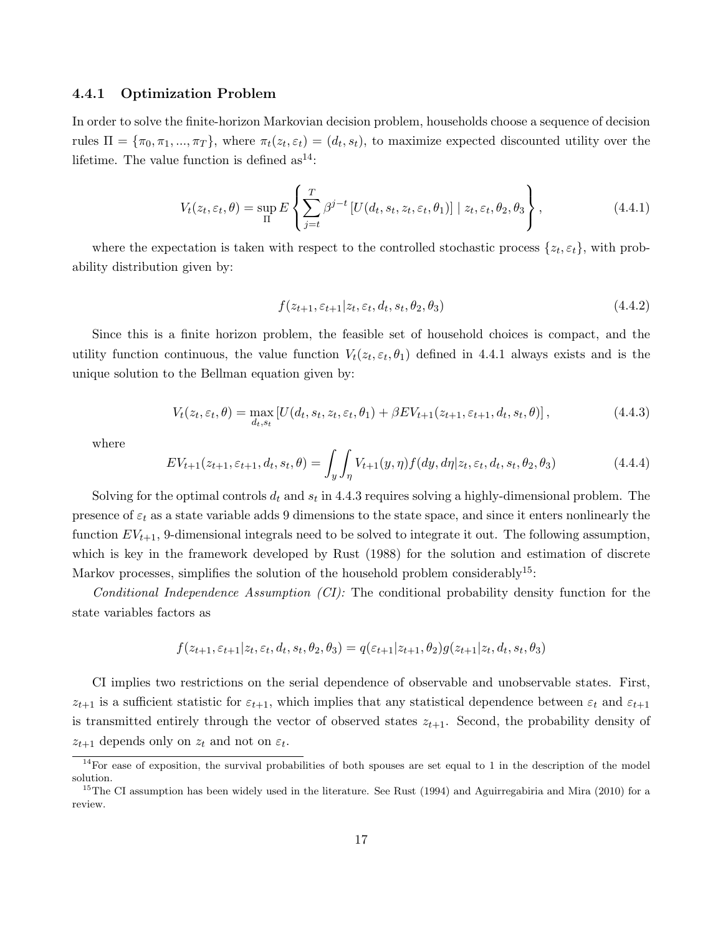#### 4.4.1 Optimization Problem

In order to solve the finite-horizon Markovian decision problem, households choose a sequence of decision rules  $\Pi = {\pi_0, \pi_1, ..., \pi_T}$ , where  $\pi_t(z_t, \varepsilon_t) = (d_t, s_t)$ , to maximize expected discounted utility over the lifetime. The value function is defined  $as^{14}$ :

$$
V_t(z_t, \varepsilon_t, \theta) = \sup_{\Pi} E \left\{ \sum_{j=t}^T \beta^{j-t} \left[ U(d_t, s_t, z_t, \varepsilon_t, \theta_1) \right] \mid z_t, \varepsilon_t, \theta_2, \theta_3 \right\},\tag{4.4.1}
$$

where the expectation is taken with respect to the controlled stochastic process  $\{z_t, \varepsilon_t\}$ , with probability distribution given by:

$$
f(z_{t+1}, \varepsilon_{t+1}|z_t, \varepsilon_t, d_t, s_t, \theta_2, \theta_3) \tag{4.4.2}
$$

Since this is a finite horizon problem, the feasible set of household choices is compact, and the utility function continuous, the value function  $V_t(z_t, \varepsilon_t, \theta_1)$  defined in 4.4.1 always exists and is the unique solution to the Bellman equation given by:

$$
V_t(z_t, \varepsilon_t, \theta) = \max_{d_t, s_t} \left[ U(d_t, s_t, z_t, \varepsilon_t, \theta_1) + \beta E V_{t+1}(z_{t+1}, \varepsilon_{t+1}, d_t, s_t, \theta) \right],
$$
(4.4.3)

where

$$
EV_{t+1}(z_{t+1}, \varepsilon_{t+1}, d_t, s_t, \theta) = \int_y \int_\eta V_{t+1}(y, \eta) f(dy, d\eta | z_t, \varepsilon_t, d_t, s_t, \theta_2, \theta_3)
$$
(4.4.4)

Solving for the optimal controls  $d_t$  and  $s_t$  in 4.4.3 requires solving a highly-dimensional problem. The presence of  $\varepsilon_t$  as a state variable adds 9 dimensions to the state space, and since it enters nonlinearly the function  $EV_{t+1}$ , 9-dimensional integrals need to be solved to integrate it out. The following assumption, which is key in the framework developed by Rust (1988) for the solution and estimation of discrete Markov processes, simplifies the solution of the household problem considerably<sup>15</sup>:

Conditional Independence Assumption (CI): The conditional probability density function for the state variables factors as

$$
f(z_{t+1}, \varepsilon_{t+1}|z_t, \varepsilon_t, d_t, s_t, \theta_2, \theta_3) = q(\varepsilon_{t+1}|z_{t+1}, \theta_2)g(z_{t+1}|z_t, d_t, s_t, \theta_3)
$$

CI implies two restrictions on the serial dependence of observable and unobservable states. First,  $z_{t+1}$  is a sufficient statistic for  $\varepsilon_{t+1}$ , which implies that any statistical dependence between  $\varepsilon_t$  and  $\varepsilon_{t+1}$ is transmitted entirely through the vector of observed states  $z_{t+1}$ . Second, the probability density of  $z_{t+1}$  depends only on  $z_t$  and not on  $\varepsilon_t$ .

 $14$  For ease of exposition, the survival probabilities of both spouses are set equal to 1 in the description of the model solution.

<sup>&</sup>lt;sup>15</sup>The CI assumption has been widely used in the literature. See Rust (1994) and Aguirregabiria and Mira (2010) for a review.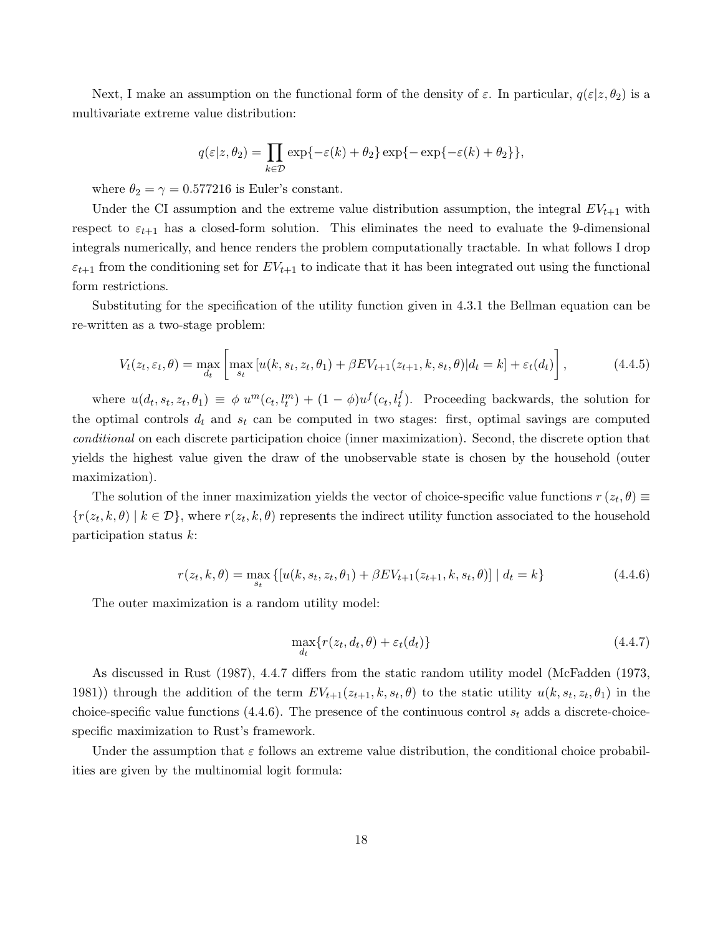Next, I make an assumption on the functional form of the density of  $\varepsilon$ . In particular,  $q(\varepsilon|z, \theta_2)$  is a multivariate extreme value distribution:

$$
q(\varepsilon|z,\theta_2)=\prod_{k\in\mathcal{D}}\exp\{-\varepsilon(k)+\theta_2\}\exp\{-\exp\{-\varepsilon(k)+\theta_2\}\},
$$

where  $\theta_2 = \gamma = 0.577216$  is Euler's constant.

Under the CI assumption and the extreme value distribution assumption, the integral  $EV_{t+1}$  with respect to  $\varepsilon_{t+1}$  has a closed-form solution. This eliminates the need to evaluate the 9-dimensional integrals numerically, and hence renders the problem computationally tractable. In what follows I drop  $\varepsilon_{t+1}$  from the conditioning set for  $EV_{t+1}$  to indicate that it has been integrated out using the functional form restrictions.

Substituting for the specification of the utility function given in 4.3.1 the Bellman equation can be re-written as a two-stage problem:

$$
V_t(z_t, \varepsilon_t, \theta) = \max_{d_t} \left[ \max_{s_t} \left[ u(k, s_t, z_t, \theta_1) + \beta E V_{t+1}(z_{t+1}, k, s_t, \theta) \middle| d_t = k \right] + \varepsilon_t(d_t) \right],\tag{4.4.5}
$$

where  $u(d_t, s_t, z_t, \theta_1) \equiv \phi u^m(c_t, l_t^m) + (1 - \phi)u^f(c_t, l_t^f)$ . Proceeding backwards, the solution for the optimal controls  $d_t$  and  $s_t$  can be computed in two stages: first, optimal savings are computed conditional on each discrete participation choice (inner maximization). Second, the discrete option that yields the highest value given the draw of the unobservable state is chosen by the household (outer maximization).

The solution of the inner maximization yields the vector of choice-specific value functions  $r(z_t, \theta) \equiv$  $\{r(z_t, k, \theta) \mid k \in \mathcal{D}\}\,$ , where  $r(z_t, k, \theta)$  represents the indirect utility function associated to the household participation status k:

$$
r(z_t, k, \theta) = \max_{s_t} \{ [u(k, s_t, z_t, \theta_1) + \beta EV_{t+1}(z_{t+1}, k, s_t, \theta)] \mid d_t = k \}
$$
(4.4.6)

The outer maximization is a random utility model:

$$
\max_{d_t} \{ r(z_t, d_t, \theta) + \varepsilon_t(d_t) \}
$$
\n(4.4.7)

As discussed in Rust (1987), 4.4.7 differs from the static random utility model (McFadden (1973, 1981) through the addition of the term  $EV_{t+1}(z_{t+1}, k, s_t, \theta)$  to the static utility  $u(k, s_t, z_t, \theta_1)$  in the choice-specific value functions (4.4.6). The presence of the continuous control  $s_t$  adds a discrete-choicespecific maximization to Rust's framework.

Under the assumption that  $\varepsilon$  follows an extreme value distribution, the conditional choice probabilities are given by the multinomial logit formula: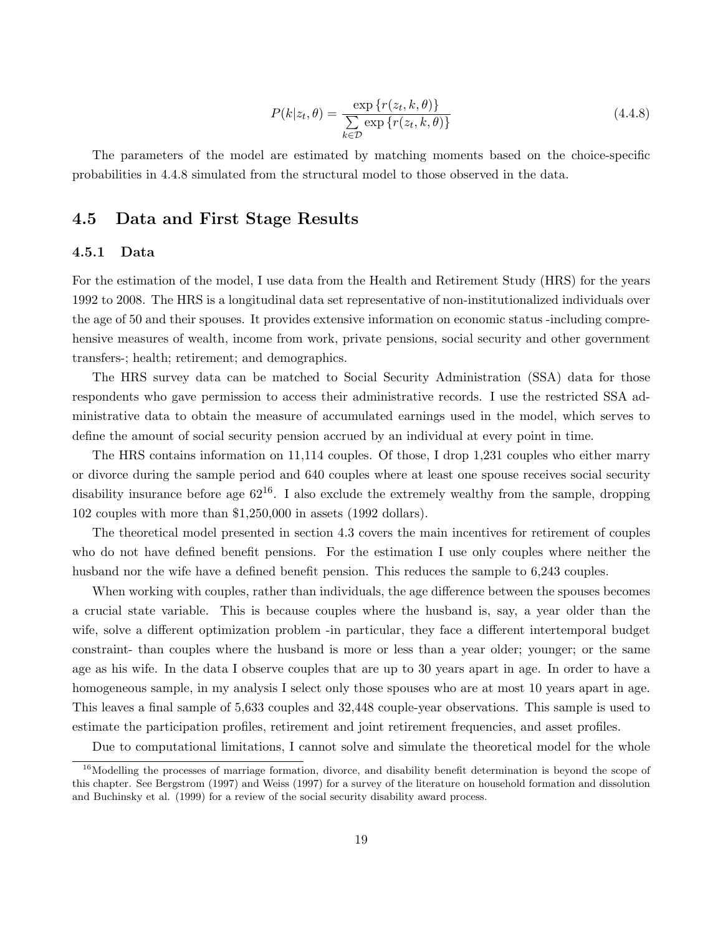$$
P(k|z_t, \theta) = \frac{\exp\{r(z_t, k, \theta)\}}{\sum_{k \in \mathcal{D}} \exp\{r(z_t, k, \theta)\}} \tag{4.4.8}
$$

The parameters of the model are estimated by matching moments based on the choice-specific probabilities in 4.4.8 simulated from the structural model to those observed in the data.

### 4.5 Data and First Stage Results

#### 4.5.1 Data

For the estimation of the model, I use data from the Health and Retirement Study (HRS) for the years 1992 to 2008. The HRS is a longitudinal data set representative of non-institutionalized individuals over the age of 50 and their spouses. It provides extensive information on economic status -including comprehensive measures of wealth, income from work, private pensions, social security and other government transfers-; health; retirement; and demographics.

The HRS survey data can be matched to Social Security Administration (SSA) data for those respondents who gave permission to access their administrative records. I use the restricted SSA administrative data to obtain the measure of accumulated earnings used in the model, which serves to define the amount of social security pension accrued by an individual at every point in time.

The HRS contains information on 11,114 couples. Of those, I drop 1,231 couples who either marry or divorce during the sample period and 640 couples where at least one spouse receives social security disability insurance before age  $62^{16}$ . I also exclude the extremely wealthy from the sample, dropping 102 couples with more than \$1,250,000 in assets (1992 dollars).

The theoretical model presented in section 4.3 covers the main incentives for retirement of couples who do not have defined benefit pensions. For the estimation I use only couples where neither the husband nor the wife have a defined benefit pension. This reduces the sample to 6,243 couples.

When working with couples, rather than individuals, the age difference between the spouses becomes a crucial state variable. This is because couples where the husband is, say, a year older than the wife, solve a different optimization problem -in particular, they face a different intertemporal budget constraint- than couples where the husband is more or less than a year older; younger; or the same age as his wife. In the data I observe couples that are up to 30 years apart in age. In order to have a homogeneous sample, in my analysis I select only those spouses who are at most 10 years apart in age. This leaves a final sample of 5,633 couples and 32,448 couple-year observations. This sample is used to estimate the participation profiles, retirement and joint retirement frequencies, and asset profiles.

Due to computational limitations, I cannot solve and simulate the theoretical model for the whole

 $16$ Modelling the processes of marriage formation, divorce, and disability benefit determination is beyond the scope of this chapter. See Bergstrom (1997) and Weiss (1997) for a survey of the literature on household formation and dissolution and Buchinsky et al. (1999) for a review of the social security disability award process.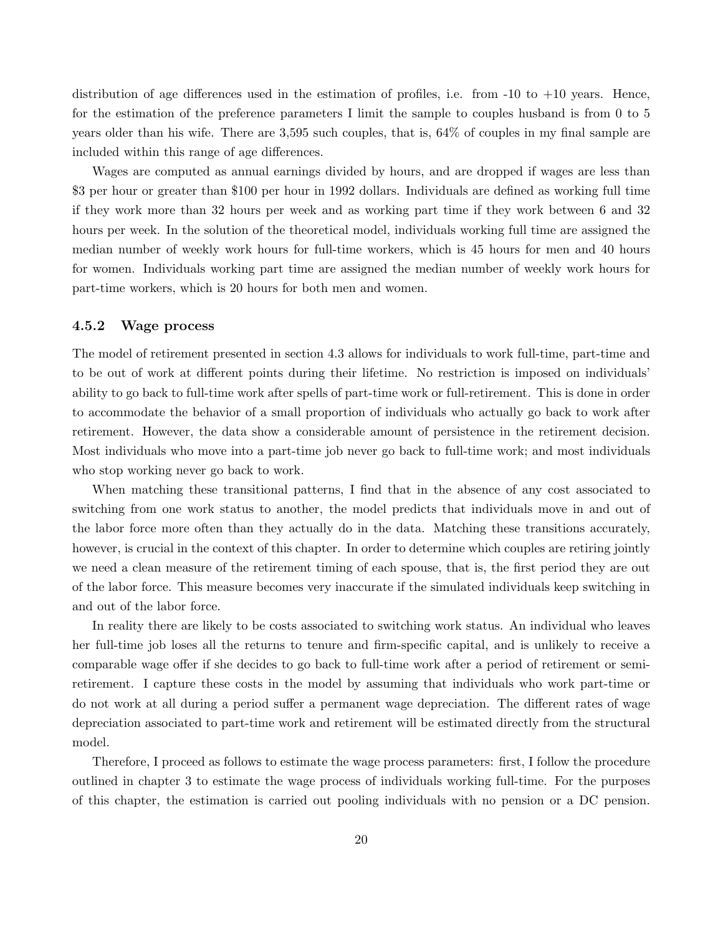distribution of age differences used in the estimation of profiles, i.e. from  $-10$  to  $+10$  years. Hence, for the estimation of the preference parameters I limit the sample to couples husband is from 0 to 5 years older than his wife. There are 3,595 such couples, that is, 64% of couples in my final sample are included within this range of age differences.

Wages are computed as annual earnings divided by hours, and are dropped if wages are less than \$3 per hour or greater than \$100 per hour in 1992 dollars. Individuals are defined as working full time if they work more than 32 hours per week and as working part time if they work between 6 and 32 hours per week. In the solution of the theoretical model, individuals working full time are assigned the median number of weekly work hours for full-time workers, which is 45 hours for men and 40 hours for women. Individuals working part time are assigned the median number of weekly work hours for part-time workers, which is 20 hours for both men and women.

#### 4.5.2 Wage process

The model of retirement presented in section 4.3 allows for individuals to work full-time, part-time and to be out of work at different points during their lifetime. No restriction is imposed on individuals' ability to go back to full-time work after spells of part-time work or full-retirement. This is done in order to accommodate the behavior of a small proportion of individuals who actually go back to work after retirement. However, the data show a considerable amount of persistence in the retirement decision. Most individuals who move into a part-time job never go back to full-time work; and most individuals who stop working never go back to work.

When matching these transitional patterns, I find that in the absence of any cost associated to switching from one work status to another, the model predicts that individuals move in and out of the labor force more often than they actually do in the data. Matching these transitions accurately, however, is crucial in the context of this chapter. In order to determine which couples are retiring jointly we need a clean measure of the retirement timing of each spouse, that is, the first period they are out of the labor force. This measure becomes very inaccurate if the simulated individuals keep switching in and out of the labor force.

In reality there are likely to be costs associated to switching work status. An individual who leaves her full-time job loses all the returns to tenure and firm-specific capital, and is unlikely to receive a comparable wage offer if she decides to go back to full-time work after a period of retirement or semiretirement. I capture these costs in the model by assuming that individuals who work part-time or do not work at all during a period suffer a permanent wage depreciation. The different rates of wage depreciation associated to part-time work and retirement will be estimated directly from the structural model.

Therefore, I proceed as follows to estimate the wage process parameters: first, I follow the procedure outlined in chapter 3 to estimate the wage process of individuals working full-time. For the purposes of this chapter, the estimation is carried out pooling individuals with no pension or a DC pension.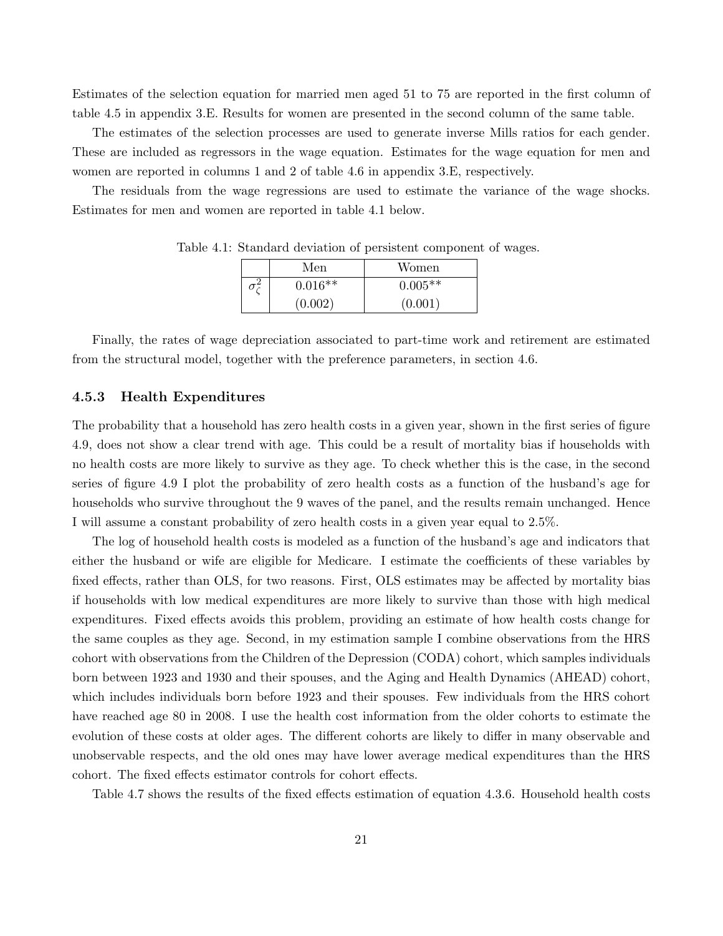Estimates of the selection equation for married men aged 51 to 75 are reported in the first column of table 4.5 in appendix 3.E. Results for women are presented in the second column of the same table.

The estimates of the selection processes are used to generate inverse Mills ratios for each gender. These are included as regressors in the wage equation. Estimates for the wage equation for men and women are reported in columns 1 and 2 of table 4.6 in appendix 3.E, respectively.

The residuals from the wage regressions are used to estimate the variance of the wage shocks. Estimates for men and women are reported in table 4.1 below.

| Men       | Women     |
|-----------|-----------|
| $0.016**$ | $0.005**$ |
| (0.002)   | (0.001)   |

Table 4.1: Standard deviation of persistent component of wages.

Finally, the rates of wage depreciation associated to part-time work and retirement are estimated from the structural model, together with the preference parameters, in section 4.6.

#### 4.5.3 Health Expenditures

The probability that a household has zero health costs in a given year, shown in the first series of figure 4.9, does not show a clear trend with age. This could be a result of mortality bias if households with no health costs are more likely to survive as they age. To check whether this is the case, in the second series of figure 4.9 I plot the probability of zero health costs as a function of the husband's age for households who survive throughout the 9 waves of the panel, and the results remain unchanged. Hence I will assume a constant probability of zero health costs in a given year equal to 2.5%.

The log of household health costs is modeled as a function of the husband's age and indicators that either the husband or wife are eligible for Medicare. I estimate the coefficients of these variables by fixed effects, rather than OLS, for two reasons. First, OLS estimates may be affected by mortality bias if households with low medical expenditures are more likely to survive than those with high medical expenditures. Fixed effects avoids this problem, providing an estimate of how health costs change for the same couples as they age. Second, in my estimation sample I combine observations from the HRS cohort with observations from the Children of the Depression (CODA) cohort, which samples individuals born between 1923 and 1930 and their spouses, and the Aging and Health Dynamics (AHEAD) cohort, which includes individuals born before 1923 and their spouses. Few individuals from the HRS cohort have reached age 80 in 2008. I use the health cost information from the older cohorts to estimate the evolution of these costs at older ages. The different cohorts are likely to differ in many observable and unobservable respects, and the old ones may have lower average medical expenditures than the HRS cohort. The fixed effects estimator controls for cohort effects.

Table 4.7 shows the results of the fixed effects estimation of equation 4.3.6. Household health costs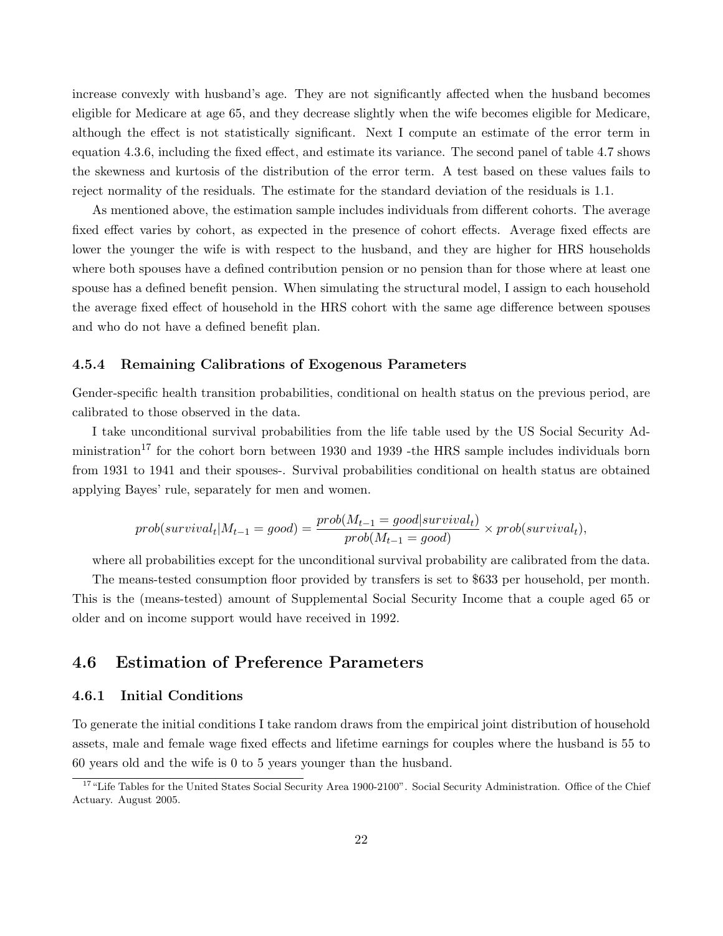increase convexly with husband's age. They are not significantly affected when the husband becomes eligible for Medicare at age 65, and they decrease slightly when the wife becomes eligible for Medicare, although the effect is not statistically significant. Next I compute an estimate of the error term in equation 4.3.6, including the fixed effect, and estimate its variance. The second panel of table 4.7 shows the skewness and kurtosis of the distribution of the error term. A test based on these values fails to reject normality of the residuals. The estimate for the standard deviation of the residuals is 1.1.

As mentioned above, the estimation sample includes individuals from different cohorts. The average fixed effect varies by cohort, as expected in the presence of cohort effects. Average fixed effects are lower the younger the wife is with respect to the husband, and they are higher for HRS households where both spouses have a defined contribution pension or no pension than for those where at least one spouse has a defined benefit pension. When simulating the structural model, I assign to each household the average fixed effect of household in the HRS cohort with the same age difference between spouses and who do not have a defined benefit plan.

#### 4.5.4 Remaining Calibrations of Exogenous Parameters

Gender-specific health transition probabilities, conditional on health status on the previous period, are calibrated to those observed in the data.

I take unconditional survival probabilities from the life table used by the US Social Security Administration<sup>17</sup> for the cohort born between 1930 and 1939 -the HRS sample includes individuals born from 1931 to 1941 and their spouses-. Survival probabilities conditional on health status are obtained applying Bayes' rule, separately for men and women.

$$
prob(survival_t|M_{t-1} = good) = \frac{prob(M_{t-1} = good|survival_t)}{prob(M_{t-1} = good)} \times prob(survival_t),
$$

where all probabilities except for the unconditional survival probability are calibrated from the data.

The means-tested consumption floor provided by transfers is set to \$633 per household, per month. This is the (means-tested) amount of Supplemental Social Security Income that a couple aged 65 or older and on income support would have received in 1992.

# 4.6 Estimation of Preference Parameters

#### 4.6.1 Initial Conditions

To generate the initial conditions I take random draws from the empirical joint distribution of household assets, male and female wage fixed effects and lifetime earnings for couples where the husband is 55 to 60 years old and the wife is 0 to 5 years younger than the husband.

<sup>&</sup>lt;sup>17</sup>"Life Tables for the United States Social Security Area 1900-2100". Social Security Administration. Office of the Chief Actuary. August 2005.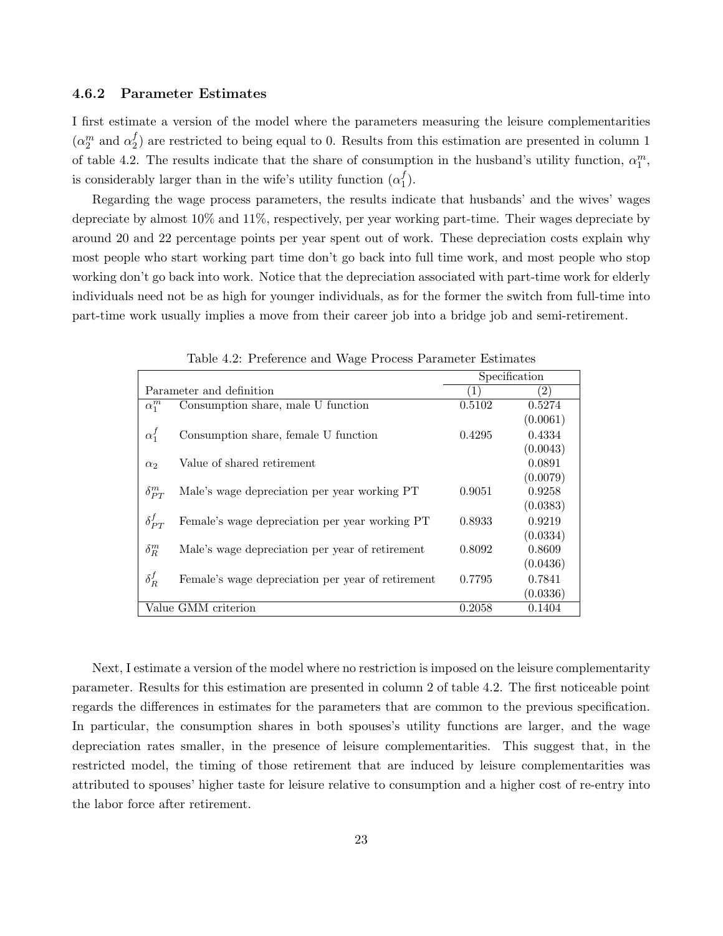#### 4.6.2 Parameter Estimates

I first estimate a version of the model where the parameters measuring the leisure complementarities  $(\alpha_2^m \text{ and } \alpha_2^f)$  $\binom{J}{2}$  are restricted to being equal to 0. Results from this estimation are presented in column 1 of table 4.2. The results indicate that the share of consumption in the husband's utility function,  $\alpha_1^m$ , is considerably larger than in the wife's utility function  $(\alpha_1^f)$  $\binom{J}{1}$ .

Regarding the wage process parameters, the results indicate that husbands' and the wives' wages depreciate by almost 10% and 11%, respectively, per year working part-time. Their wages depreciate by around 20 and 22 percentage points per year spent out of work. These depreciation costs explain why most people who start working part time don't go back into full time work, and most people who stop working don't go back into work. Notice that the depreciation associated with part-time work for elderly individuals need not be as high for younger individuals, as for the former the switch from full-time into part-time work usually implies a move from their career job into a bridge job and semi-retirement.

|                               |                                                   | Specification |               |
|-------------------------------|---------------------------------------------------|---------------|---------------|
| Parameter and definition      |                                                   | 1             | $^{\prime}2)$ |
| $\alpha_1^m$                  | Consumption share, male U function                | 0.5102        | 0.5274        |
|                               |                                                   |               | (0.0061)      |
| $\alpha_1^f$                  | Consumption share, female U function              | 0.4295        | 0.4334        |
|                               |                                                   |               | (0.0043)      |
| $\alpha_2$                    | Value of shared retirement                        |               | 0.0891        |
|                               |                                                   |               | (0.0079)      |
| $\delta_{PT}^m$               | Male's wage depreciation per year working PT      | 0.9051        | 0.9258        |
|                               |                                                   |               | (0.0383)      |
| $\delta_{PT}^f$               | Female's wage depreciation per year working PT    | 0.8933        | 0.9219        |
|                               |                                                   |               | (0.0334)      |
| $\delta_R^m$                  | Male's wage depreciation per year of retirement   | 0.8092        | 0.8609        |
|                               |                                                   |               | (0.0436)      |
| $\delta_R^f$                  | Female's wage depreciation per year of retirement | 0.7795        | 0.7841        |
|                               |                                                   |               | (0.0336)      |
| Value GMM criterion<br>0.2058 |                                                   |               | 0.1404        |

Table 4.2: Preference and Wage Process Parameter Estimates

Next, I estimate a version of the model where no restriction is imposed on the leisure complementarity parameter. Results for this estimation are presented in column 2 of table 4.2. The first noticeable point regards the differences in estimates for the parameters that are common to the previous specification. In particular, the consumption shares in both spouses's utility functions are larger, and the wage depreciation rates smaller, in the presence of leisure complementarities. This suggest that, in the restricted model, the timing of those retirement that are induced by leisure complementarities was attributed to spouses' higher taste for leisure relative to consumption and a higher cost of re-entry into the labor force after retirement.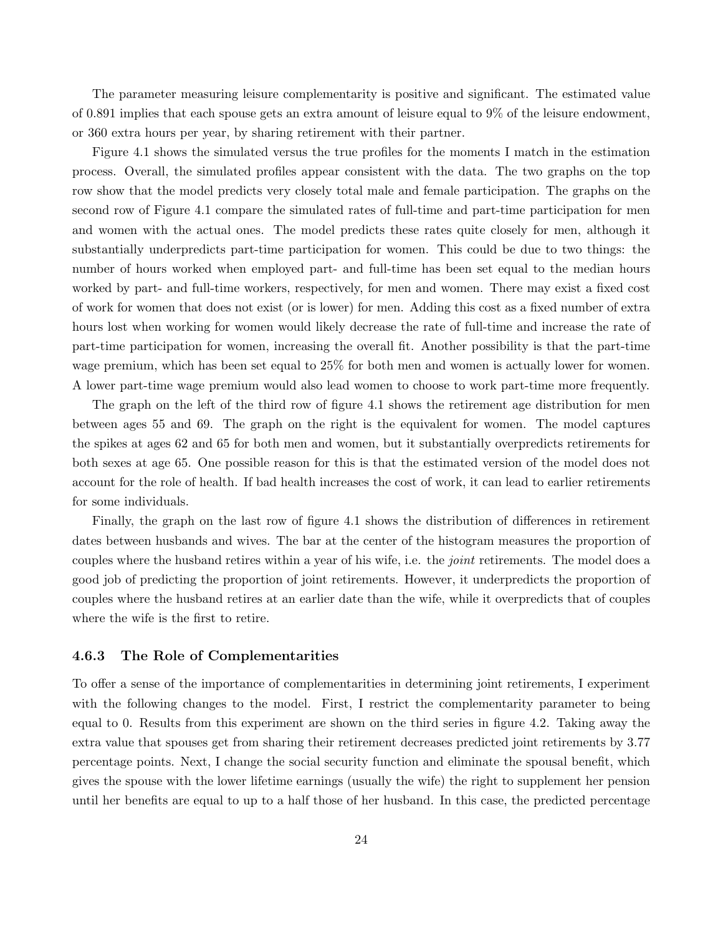The parameter measuring leisure complementarity is positive and significant. The estimated value of 0.891 implies that each spouse gets an extra amount of leisure equal to 9% of the leisure endowment, or 360 extra hours per year, by sharing retirement with their partner.

Figure 4.1 shows the simulated versus the true profiles for the moments I match in the estimation process. Overall, the simulated profiles appear consistent with the data. The two graphs on the top row show that the model predicts very closely total male and female participation. The graphs on the second row of Figure 4.1 compare the simulated rates of full-time and part-time participation for men and women with the actual ones. The model predicts these rates quite closely for men, although it substantially underpredicts part-time participation for women. This could be due to two things: the number of hours worked when employed part- and full-time has been set equal to the median hours worked by part- and full-time workers, respectively, for men and women. There may exist a fixed cost of work for women that does not exist (or is lower) for men. Adding this cost as a fixed number of extra hours lost when working for women would likely decrease the rate of full-time and increase the rate of part-time participation for women, increasing the overall fit. Another possibility is that the part-time wage premium, which has been set equal to 25% for both men and women is actually lower for women. A lower part-time wage premium would also lead women to choose to work part-time more frequently.

The graph on the left of the third row of figure 4.1 shows the retirement age distribution for men between ages 55 and 69. The graph on the right is the equivalent for women. The model captures the spikes at ages 62 and 65 for both men and women, but it substantially overpredicts retirements for both sexes at age 65. One possible reason for this is that the estimated version of the model does not account for the role of health. If bad health increases the cost of work, it can lead to earlier retirements for some individuals.

Finally, the graph on the last row of figure 4.1 shows the distribution of differences in retirement dates between husbands and wives. The bar at the center of the histogram measures the proportion of couples where the husband retires within a year of his wife, i.e. the *joint* retirements. The model does a good job of predicting the proportion of joint retirements. However, it underpredicts the proportion of couples where the husband retires at an earlier date than the wife, while it overpredicts that of couples where the wife is the first to retire.

#### 4.6.3 The Role of Complementarities

To offer a sense of the importance of complementarities in determining joint retirements, I experiment with the following changes to the model. First, I restrict the complementarity parameter to being equal to 0. Results from this experiment are shown on the third series in figure 4.2. Taking away the extra value that spouses get from sharing their retirement decreases predicted joint retirements by 3.77 percentage points. Next, I change the social security function and eliminate the spousal benefit, which gives the spouse with the lower lifetime earnings (usually the wife) the right to supplement her pension until her benefits are equal to up to a half those of her husband. In this case, the predicted percentage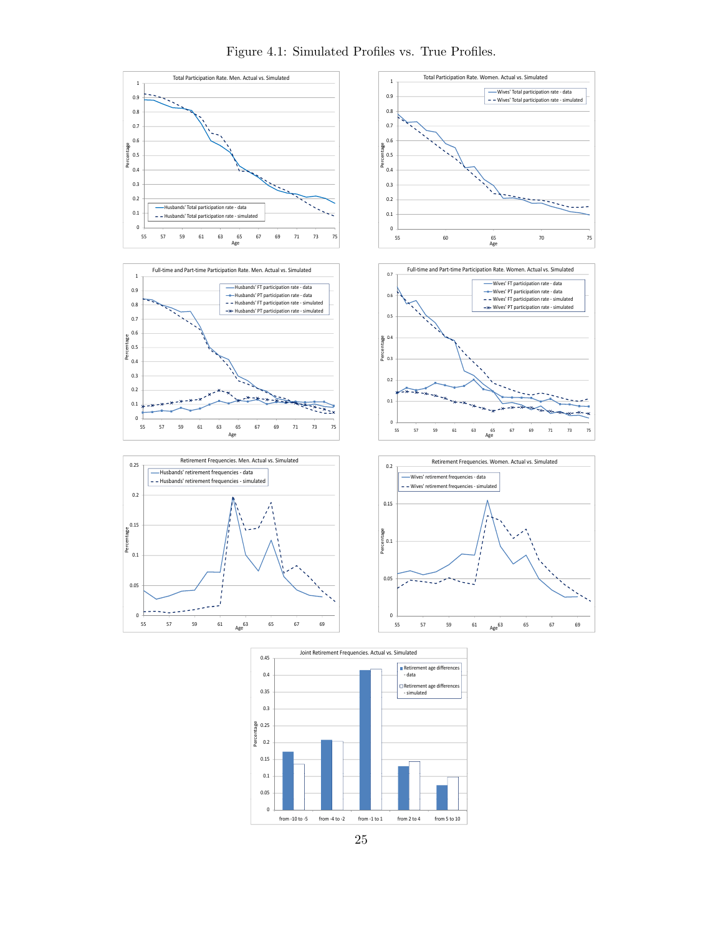

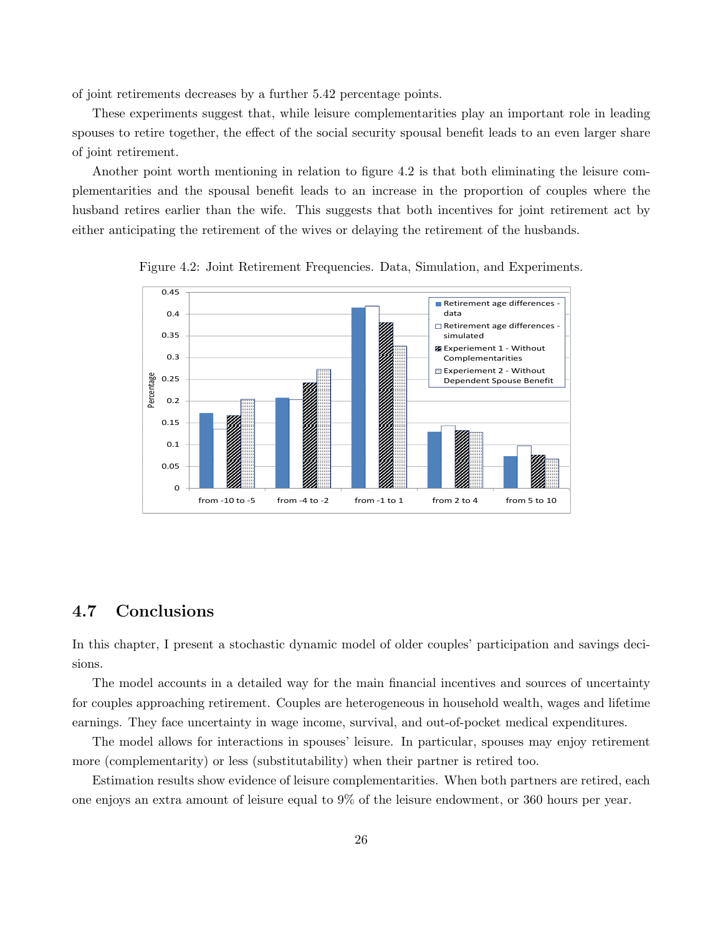of joint retirements decreases by a further 5.42 percentage points.

These experiments suggest that, while leisure complementarities play an important role in leading spouses to retire together, the effect of the social security spousal benefit leads to an even larger share of joint retirement.

Another point worth mentioning in relation to figure 4.2 is that both eliminating the leisure complementarities and the spousal benefit leads to an increase in the proportion of couples where the husband retires earlier than the wife. This suggests that both incentives for joint retirement act by either anticipating the retirement of the wives or delaying the retirement of the husbands.



Figure 4.2: Joint Retirement Frequencies. Data, Simulation, and Experiments.

# 4.7 Conclusions

In this chapter, I present a stochastic dynamic model of older couples' participation and savings decisions.

The model accounts in a detailed way for the main financial incentives and sources of uncertainty for couples approaching retirement. Couples are heterogeneous in household wealth, wages and lifetime earnings. They face uncertainty in wage income, survival, and out-of-pocket medical expenditures.

The model allows for interactions in spouses' leisure. In particular, spouses may enjoy retirement more (complementarity) or less (substitutability) when their partner is retired too.

Estimation results show evidence of leisure complementarities. When both partners are retired, each one enjoys an extra amount of leisure equal to 9% of the leisure endowment, or 360 hours per year.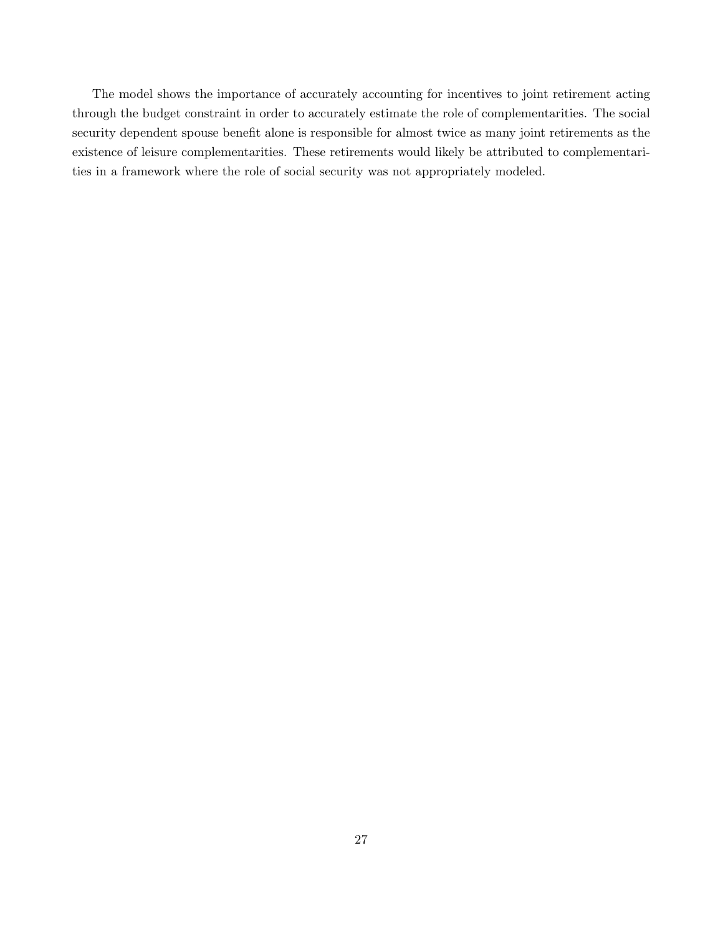The model shows the importance of accurately accounting for incentives to joint retirement acting through the budget constraint in order to accurately estimate the role of complementarities. The social security dependent spouse benefit alone is responsible for almost twice as many joint retirements as the existence of leisure complementarities. These retirements would likely be attributed to complementarities in a framework where the role of social security was not appropriately modeled.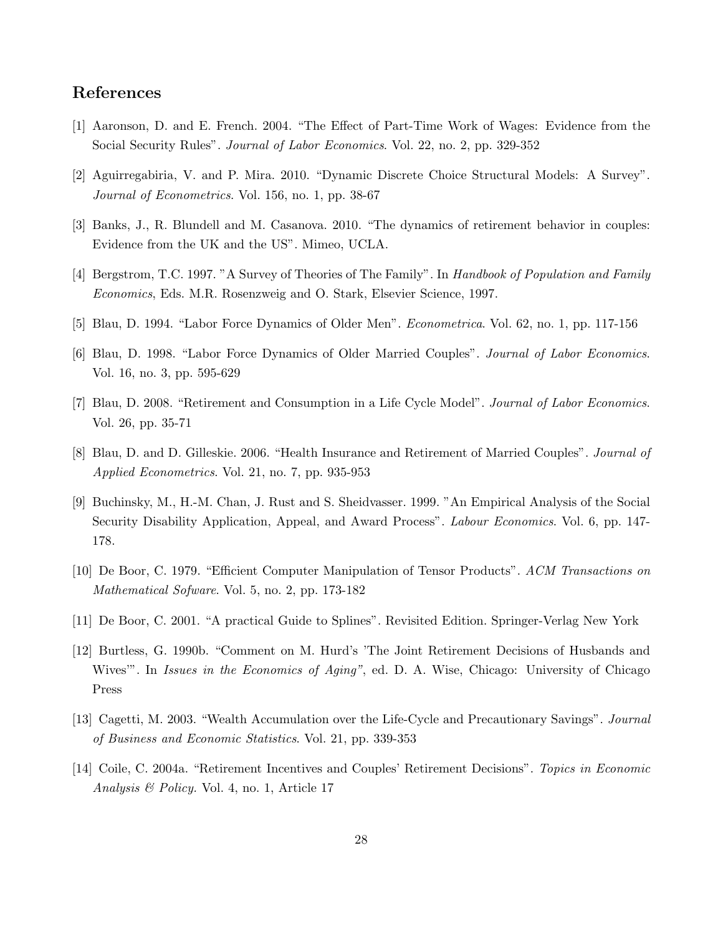# References

- [1] Aaronson, D. and E. French. 2004. "The Effect of Part-Time Work of Wages: Evidence from the Social Security Rules". Journal of Labor Economics. Vol. 22, no. 2, pp. 329-352
- [2] Aguirregabiria, V. and P. Mira. 2010. "Dynamic Discrete Choice Structural Models: A Survey". Journal of Econometrics. Vol. 156, no. 1, pp. 38-67
- [3] Banks, J., R. Blundell and M. Casanova. 2010. "The dynamics of retirement behavior in couples: Evidence from the UK and the US". Mimeo, UCLA.
- [4] Bergstrom, T.C. 1997. "A Survey of Theories of The Family". In Handbook of Population and Family Economics, Eds. M.R. Rosenzweig and O. Stark, Elsevier Science, 1997.
- [5] Blau, D. 1994. "Labor Force Dynamics of Older Men". Econometrica. Vol. 62, no. 1, pp. 117-156
- [6] Blau, D. 1998. "Labor Force Dynamics of Older Married Couples". Journal of Labor Economics. Vol. 16, no. 3, pp. 595-629
- [7] Blau, D. 2008. "Retirement and Consumption in a Life Cycle Model". Journal of Labor Economics. Vol. 26, pp. 35-71
- [8] Blau, D. and D. Gilleskie. 2006. "Health Insurance and Retirement of Married Couples". Journal of Applied Econometrics. Vol. 21, no. 7, pp. 935-953
- [9] Buchinsky, M., H.-M. Chan, J. Rust and S. Sheidvasser. 1999. "An Empirical Analysis of the Social Security Disability Application, Appeal, and Award Process". Labour Economics. Vol. 6, pp. 147- 178.
- [10] De Boor, C. 1979. "Efficient Computer Manipulation of Tensor Products". ACM Transactions on Mathematical Sofware. Vol. 5, no. 2, pp. 173-182
- [11] De Boor, C. 2001. "A practical Guide to Splines". Revisited Edition. Springer-Verlag New York
- [12] Burtless, G. 1990b. "Comment on M. Hurd's 'The Joint Retirement Decisions of Husbands and Wives'". In Issues in the Economics of Aging", ed. D. A. Wise, Chicago: University of Chicago Press
- [13] Cagetti, M. 2003. "Wealth Accumulation over the Life-Cycle and Precautionary Savings". Journal of Business and Economic Statistics. Vol. 21, pp. 339-353
- [14] Coile, C. 2004a. "Retirement Incentives and Couples' Retirement Decisions". Topics in Economic Analysis & Policy. Vol. 4, no. 1, Article 17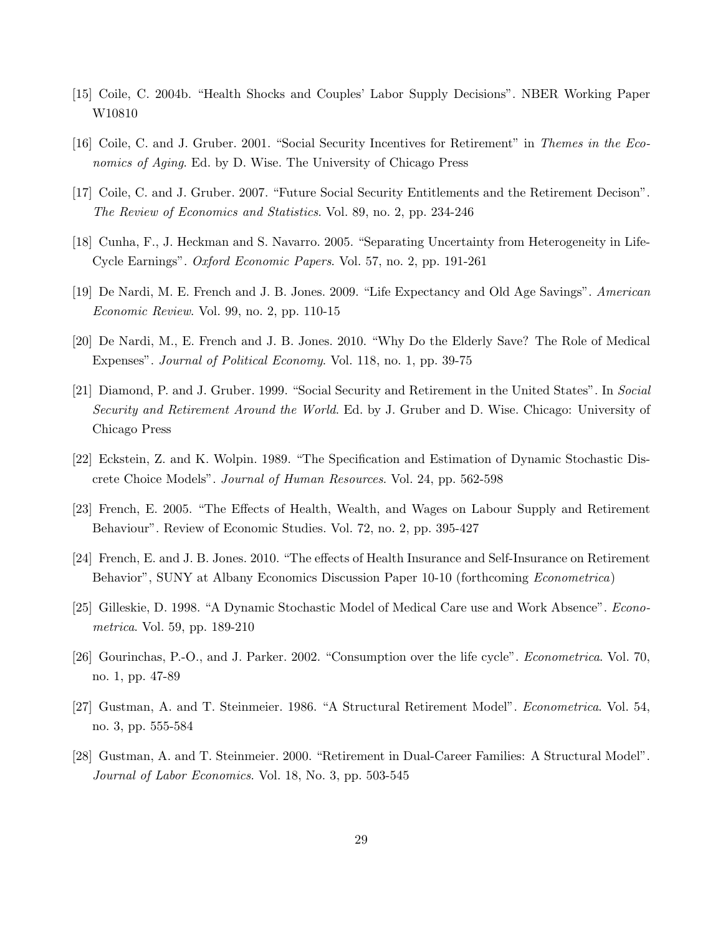- [15] Coile, C. 2004b. "Health Shocks and Couples' Labor Supply Decisions". NBER Working Paper W10810
- [16] Coile, C. and J. Gruber. 2001. "Social Security Incentives for Retirement" in Themes in the Economics of Aging. Ed. by D. Wise. The University of Chicago Press
- [17] Coile, C. and J. Gruber. 2007. "Future Social Security Entitlements and the Retirement Decison". The Review of Economics and Statistics. Vol. 89, no. 2, pp. 234-246
- [18] Cunha, F., J. Heckman and S. Navarro. 2005. "Separating Uncertainty from Heterogeneity in Life-Cycle Earnings". Oxford Economic Papers. Vol. 57, no. 2, pp. 191-261
- [19] De Nardi, M. E. French and J. B. Jones. 2009. "Life Expectancy and Old Age Savings". American Economic Review. Vol. 99, no. 2, pp. 110-15
- [20] De Nardi, M., E. French and J. B. Jones. 2010. "Why Do the Elderly Save? The Role of Medical Expenses". Journal of Political Economy. Vol. 118, no. 1, pp. 39-75
- [21] Diamond, P. and J. Gruber. 1999. "Social Security and Retirement in the United States". In Social Security and Retirement Around the World. Ed. by J. Gruber and D. Wise. Chicago: University of Chicago Press
- [22] Eckstein, Z. and K. Wolpin. 1989. "The Specification and Estimation of Dynamic Stochastic Discrete Choice Models". Journal of Human Resources. Vol. 24, pp. 562-598
- [23] French, E. 2005. "The Effects of Health, Wealth, and Wages on Labour Supply and Retirement Behaviour". Review of Economic Studies. Vol. 72, no. 2, pp. 395-427
- [24] French, E. and J. B. Jones. 2010. "The effects of Health Insurance and Self-Insurance on Retirement Behavior", SUNY at Albany Economics Discussion Paper 10-10 (forthcoming Econometrica)
- [25] Gilleskie, D. 1998. "A Dynamic Stochastic Model of Medical Care use and Work Absence". Econometrica. Vol. 59, pp. 189-210
- [26] Gourinchas, P.-O., and J. Parker. 2002. "Consumption over the life cycle". Econometrica. Vol. 70, no. 1, pp. 47-89
- [27] Gustman, A. and T. Steinmeier. 1986. "A Structural Retirement Model". Econometrica. Vol. 54, no. 3, pp. 555-584
- [28] Gustman, A. and T. Steinmeier. 2000. "Retirement in Dual-Career Families: A Structural Model". Journal of Labor Economics. Vol. 18, No. 3, pp. 503-545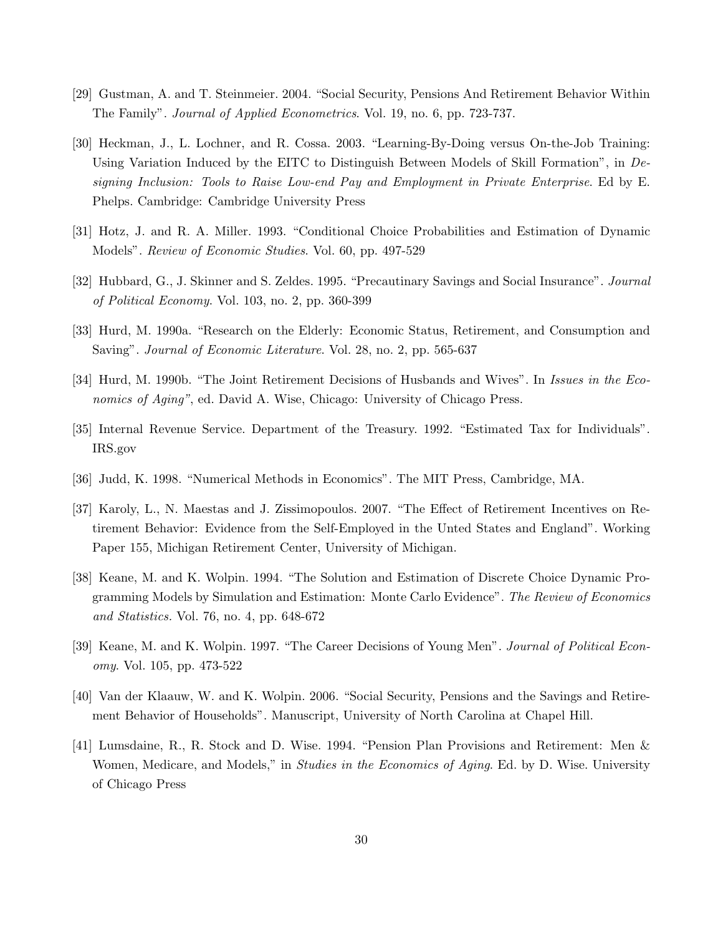- [29] Gustman, A. and T. Steinmeier. 2004. "Social Security, Pensions And Retirement Behavior Within The Family". Journal of Applied Econometrics. Vol. 19, no. 6, pp. 723-737.
- [30] Heckman, J., L. Lochner, and R. Cossa. 2003. "Learning-By-Doing versus On-the-Job Training: Using Variation Induced by the EITC to Distinguish Between Models of Skill Formation", in Designing Inclusion: Tools to Raise Low-end Pay and Employment in Private Enterprise. Ed by E. Phelps. Cambridge: Cambridge University Press
- [31] Hotz, J. and R. A. Miller. 1993. "Conditional Choice Probabilities and Estimation of Dynamic Models". Review of Economic Studies. Vol. 60, pp. 497-529
- [32] Hubbard, G., J. Skinner and S. Zeldes. 1995. "Precautinary Savings and Social Insurance". Journal of Political Economy. Vol. 103, no. 2, pp. 360-399
- [33] Hurd, M. 1990a. "Research on the Elderly: Economic Status, Retirement, and Consumption and Saving". Journal of Economic Literature. Vol. 28, no. 2, pp. 565-637
- [34] Hurd, M. 1990b. "The Joint Retirement Decisions of Husbands and Wives". In Issues in the Economics of Aging", ed. David A. Wise, Chicago: University of Chicago Press.
- [35] Internal Revenue Service. Department of the Treasury. 1992. "Estimated Tax for Individuals". IRS.gov
- [36] Judd, K. 1998. "Numerical Methods in Economics". The MIT Press, Cambridge, MA.
- [37] Karoly, L., N. Maestas and J. Zissimopoulos. 2007. "The Effect of Retirement Incentives on Retirement Behavior: Evidence from the Self-Employed in the Unted States and England". Working Paper 155, Michigan Retirement Center, University of Michigan.
- [38] Keane, M. and K. Wolpin. 1994. "The Solution and Estimation of Discrete Choice Dynamic Programming Models by Simulation and Estimation: Monte Carlo Evidence". The Review of Economics and Statistics. Vol. 76, no. 4, pp. 648-672
- [39] Keane, M. and K. Wolpin. 1997. "The Career Decisions of Young Men". Journal of Political Economy. Vol. 105, pp. 473-522
- [40] Van der Klaauw, W. and K. Wolpin. 2006. "Social Security, Pensions and the Savings and Retirement Behavior of Households". Manuscript, University of North Carolina at Chapel Hill.
- [41] Lumsdaine, R., R. Stock and D. Wise. 1994. "Pension Plan Provisions and Retirement: Men & Women, Medicare, and Models," in *Studies in the Economics of Aging*. Ed. by D. Wise. University of Chicago Press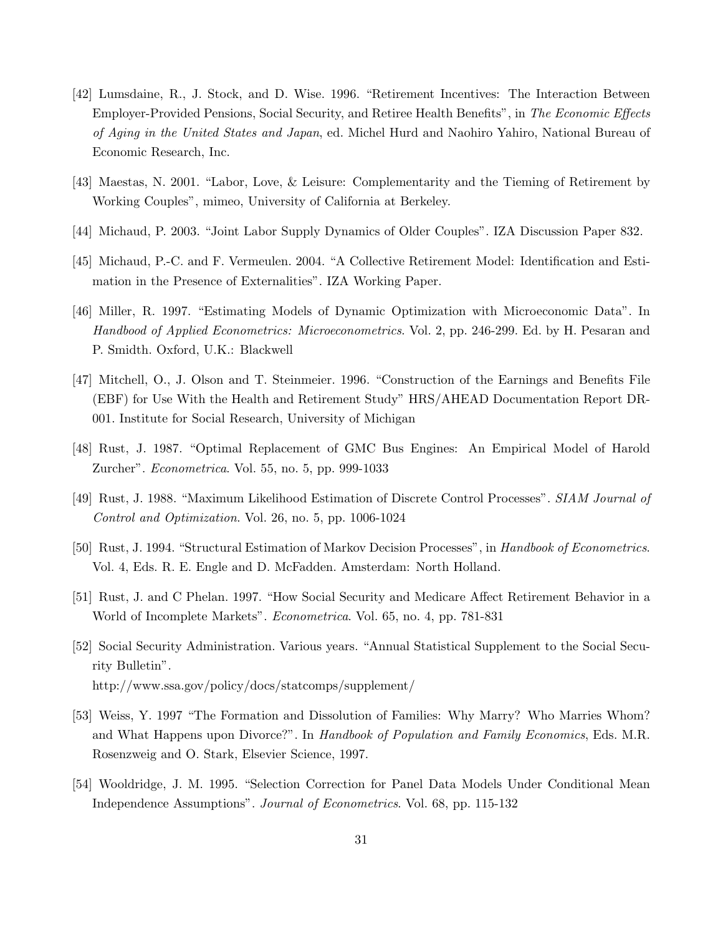- [42] Lumsdaine, R., J. Stock, and D. Wise. 1996. "Retirement Incentives: The Interaction Between Employer-Provided Pensions, Social Security, and Retiree Health Benefits", in The Economic Effects of Aging in the United States and Japan, ed. Michel Hurd and Naohiro Yahiro, National Bureau of Economic Research, Inc.
- [43] Maestas, N. 2001. "Labor, Love, & Leisure: Complementarity and the Tieming of Retirement by Working Couples", mimeo, University of California at Berkeley.
- [44] Michaud, P. 2003. "Joint Labor Supply Dynamics of Older Couples". IZA Discussion Paper 832.
- [45] Michaud, P.-C. and F. Vermeulen. 2004. "A Collective Retirement Model: Identification and Estimation in the Presence of Externalities". IZA Working Paper.
- [46] Miller, R. 1997. "Estimating Models of Dynamic Optimization with Microeconomic Data". In Handbood of Applied Econometrics: Microeconometrics. Vol. 2, pp. 246-299. Ed. by H. Pesaran and P. Smidth. Oxford, U.K.: Blackwell
- [47] Mitchell, O., J. Olson and T. Steinmeier. 1996. "Construction of the Earnings and Benefits File (EBF) for Use With the Health and Retirement Study" HRS/AHEAD Documentation Report DR-001. Institute for Social Research, University of Michigan
- [48] Rust, J. 1987. "Optimal Replacement of GMC Bus Engines: An Empirical Model of Harold Zurcher". Econometrica. Vol. 55, no. 5, pp. 999-1033
- [49] Rust, J. 1988. "Maximum Likelihood Estimation of Discrete Control Processes". SIAM Journal of Control and Optimization. Vol. 26, no. 5, pp. 1006-1024
- [50] Rust, J. 1994. "Structural Estimation of Markov Decision Processes", in Handbook of Econometrics. Vol. 4, Eds. R. E. Engle and D. McFadden. Amsterdam: North Holland.
- [51] Rust, J. and C Phelan. 1997. "How Social Security and Medicare Affect Retirement Behavior in a World of Incomplete Markets". Econometrica. Vol. 65, no. 4, pp. 781-831
- [52] Social Security Administration. Various years. "Annual Statistical Supplement to the Social Security Bulletin". http://www.ssa.gov/policy/docs/statcomps/supplement/
- [53] Weiss, Y. 1997 "The Formation and Dissolution of Families: Why Marry? Who Marries Whom? and What Happens upon Divorce?". In Handbook of Population and Family Economics, Eds. M.R. Rosenzweig and O. Stark, Elsevier Science, 1997.
- [54] Wooldridge, J. M. 1995. "Selection Correction for Panel Data Models Under Conditional Mean Independence Assumptions". Journal of Econometrics. Vol. 68, pp. 115-132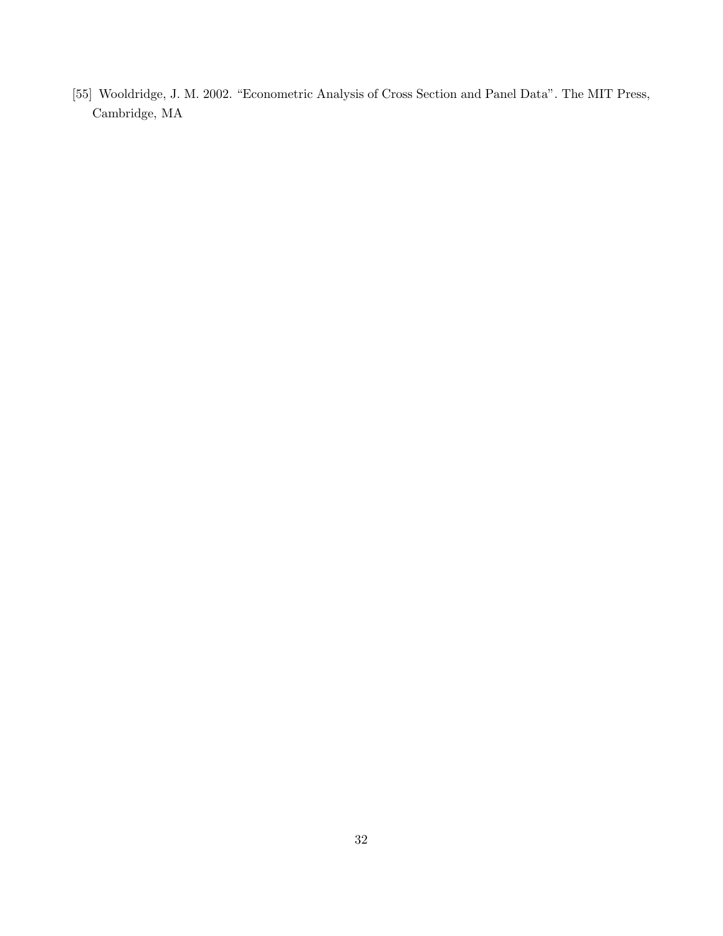[55] Wooldridge, J. M. 2002. "Econometric Analysis of Cross Section and Panel Data". The MIT Press, Cambridge, MA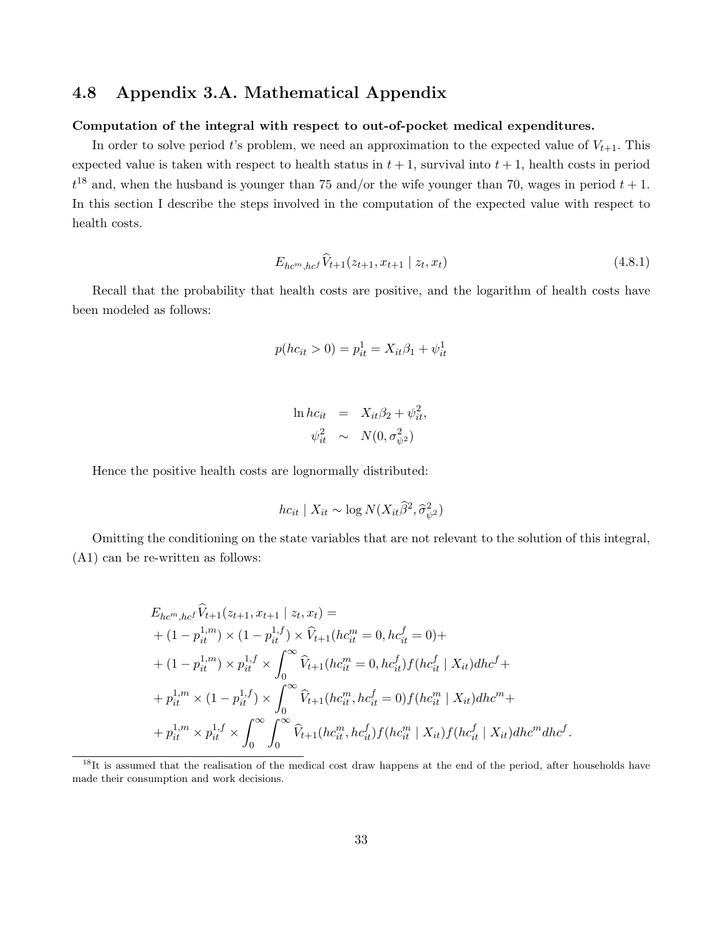# 4.8 Appendix 3.A. Mathematical Appendix

#### Computation of the integral with respect to out-of-pocket medical expenditures.

In order to solve period t's problem, we need an approximation to the expected value of  $V_{t+1}$ . This expected value is taken with respect to health status in  $t + 1$ , survival into  $t + 1$ , health costs in period  $t^{18}$  and, when the husband is younger than 75 and/or the wife younger than 70, wages in period  $t + 1$ . In this section I describe the steps involved in the computation of the expected value with respect to health costs.

$$
E_{hc^m,hc^f} \widehat{V}_{t+1}(z_{t+1}, x_{t+1} \mid z_t, x_t)
$$
\n(4.8.1)

Recall that the probability that health costs are positive, and the logarithm of health costs have been modeled as follows:

$$
p(hc_{it} > 0) = p_{it}^{1} = X_{it}\beta_1 + \psi_{it}^{1}
$$

$$
\ln hc_{it} = X_{it}\beta_2 + \psi_{it}^2,
$$
  

$$
\psi_{it}^2 \sim N(0, \sigma_{\psi^2}^2)
$$

Hence the positive health costs are lognormally distributed:

$$
hc_{it} \mid X_{it} \sim \log N(X_{it} \widehat{\beta}^2, \widehat{\sigma}_{\psi^2}^2)
$$

Omitting the conditioning on the state variables that are not relevant to the solution of this integral, (A1) can be re-written as follows:

$$
E_{hc^m,hc^f} \hat{V}_{t+1}(z_{t+1}, x_{t+1} | z_t, x_t) =
$$
  
+  $(1 - p_{it}^{1,m}) \times (1 - p_{it}^{1,f}) \times \hat{V}_{t+1}(hc_{it}^m = 0, hc_{it}^f = 0) +$   
+  $(1 - p_{it}^{1,m}) \times p_{it}^{1,f} \times \int_0^\infty \hat{V}_{t+1}(hc_{it}^m = 0, hc_{it}^f)f(hc_{it}^f | X_{it})dhc^f +$   
+  $p_{it}^{1,m} \times (1 - p_{it}^{1,f}) \times \int_0^\infty \hat{V}_{t+1}(hc_{it}^m, hc_{it}^f = 0)f(hc_{it}^m | X_{it})dhc^m +$   
+  $p_{it}^{1,m} \times p_{it}^{1,f} \times \int_0^\infty \int_0^\infty \hat{V}_{t+1}(hc_{it}^m, hc_{it}^f)f(hc_{it}^m | X_{it})f(hc_{it}^f | X_{it})dhc^m dhc^f.$ 

<sup>&</sup>lt;sup>18</sup>It is assumed that the realisation of the medical cost draw happens at the end of the period, after households have made their consumption and work decisions.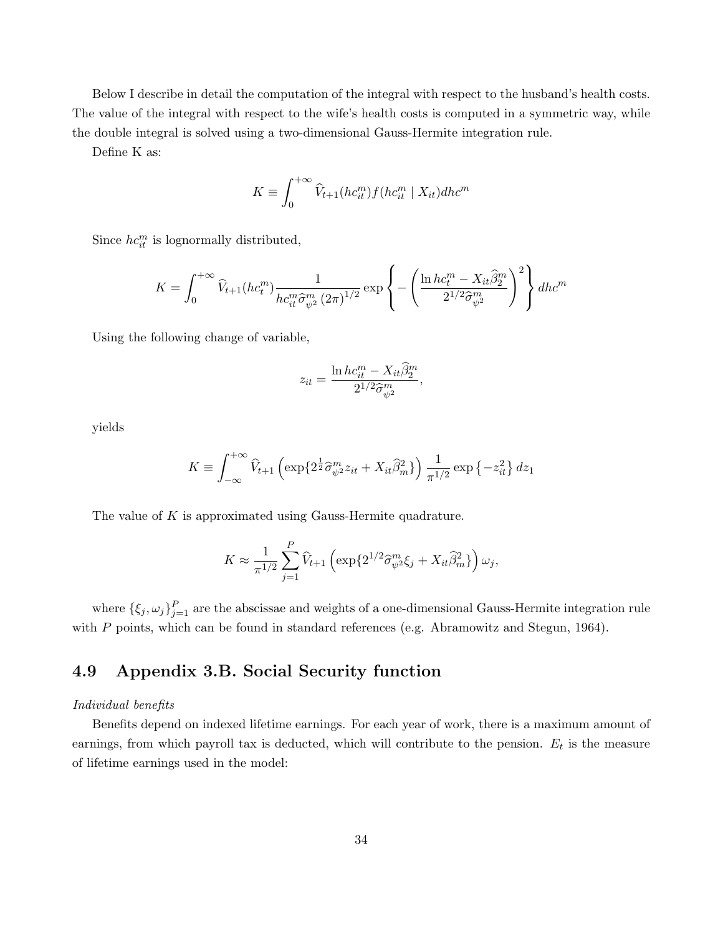Below I describe in detail the computation of the integral with respect to the husband's health costs. The value of the integral with respect to the wife's health costs is computed in a symmetric way, while the double integral is solved using a two-dimensional Gauss-Hermite integration rule.

Define K as:

$$
K \equiv \int_0^{+\infty} \widehat{V}_{t+1}(hc_{it}^m) f(hc_{it}^m \mid X_{it}) dh c^m
$$

Since  $hc_{it}^{m}$  is lognormally distributed,

$$
K = \int_0^{+\infty} \widehat{V}_{t+1}(hc^m_t) \frac{1}{hc^m_{it}\widehat{\sigma}^m_{\psi^2}(2\pi)^{1/2}} \exp\left\{-\left(\frac{\ln hc^m_t - X_{it}\widehat{\beta}^m_2}{2^{1/2}\widehat{\sigma}^m_{\psi^2}}\right)^2\right\} dh c^m
$$

Using the following change of variable,

$$
z_{it} = \frac{\ln hc_{it}^m - X_{it}\hat{\beta}_2^m}{2^{1/2}\hat{\sigma}_{\psi^2}^m},
$$

yields

$$
K \equiv \int_{-\infty}^{+\infty} \hat{V}_{t+1} \left( \exp\{2^{\frac{1}{2}} \hat{\sigma}_{\psi^2}^m z_{it} + X_{it} \hat{\beta}_m^2 \} \right) \frac{1}{\pi^{1/2}} \exp\left\{-z_{it}^2\right\} dz_1
$$

The value of K is approximated using Gauss-Hermite quadrature.

$$
K \approx \frac{1}{\pi^{1/2}} \sum_{j=1}^{P} \widehat{V}_{t+1} \left( \exp\{2^{1/2} \widehat{\sigma}_{\psi^2}^m \xi_j + X_{it} \widehat{\beta}_m^2 \} \right) \omega_j,
$$

where  $\{\xi_j,\omega_j\}_{j=1}^P$  are the abscissae and weights of a one-dimensional Gauss-Hermite integration rule with P points, which can be found in standard references (e.g. Abramowitz and Stegun, 1964).

# 4.9 Appendix 3.B. Social Security function

#### Individual benefits

Benefits depend on indexed lifetime earnings. For each year of work, there is a maximum amount of earnings, from which payroll tax is deducted, which will contribute to the pension.  $E_t$  is the measure of lifetime earnings used in the model: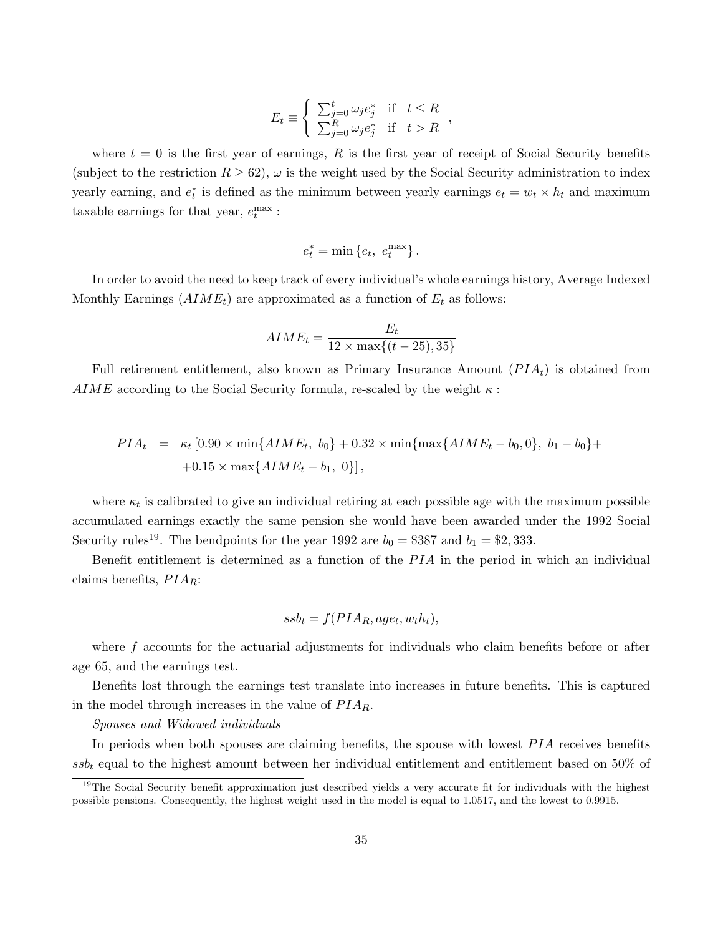$$
E_t \equiv \begin{cases} \sum_{j=0}^t \omega_j e_j^* & \text{if } t \le R \\ \sum_{j=0}^R \omega_j e_j^* & \text{if } t > R \end{cases}
$$

where  $t = 0$  is the first year of earnings, R is the first year of receipt of Social Security benefits (subject to the restriction  $R \geq 62$ ),  $\omega$  is the weight used by the Social Security administration to index yearly earning, and  $e_t^*$  is defined as the minimum between yearly earnings  $e_t = w_t \times h_t$  and maximum taxable earnings for that year,  $e_t^{\max}$ :

$$
e_t^* = \min\left\{e_t, \ e_t^{\max}\right\}.
$$

In order to avoid the need to keep track of every individual's whole earnings history, Average Indexed Monthly Earnings  $(AIME_t)$  are approximated as a function of  $E_t$  as follows:

$$
AIME_t = \frac{E_t}{12 \times \max\{(t-25), 35\}}
$$

Full retirement entitlement, also known as Primary Insurance Amount  $(PIA_t)$  is obtained from AIME according to the Social Security formula, re-scaled by the weight  $\kappa$ :

$$
PIA_t = \kappa_t [0.90 \times \min\{AIME_t, b_0\} + 0.32 \times \min\{\max\{AIME_t - b_0, 0\}, b_1 - b_0\} +
$$
  
+0.15 × max\{AIME\_t - b\_1, 0\},

where  $\kappa_t$  is calibrated to give an individual retiring at each possible age with the maximum possible accumulated earnings exactly the same pension she would have been awarded under the 1992 Social Security rules<sup>19</sup>. The bendpoints for the year 1992 are  $b_0 = $387$  and  $b_1 = $2,333$ .

Benefit entitlement is determined as a function of the  $PIA$  in the period in which an individual claims benefits,  $PIA_R$ :

$$
ssb_t = f(PIA_R, age_t, w_t h_t),
$$

where f accounts for the actuarial adjustments for individuals who claim benefits before or after age 65, and the earnings test.

Benefits lost through the earnings test translate into increases in future benefits. This is captured in the model through increases in the value of  $PIA_R$ .

#### Spouses and Widowed individuals

In periods when both spouses are claiming benefits, the spouse with lowest  $PIA$  receives benefits  $s s b_t$  equal to the highest amount between her individual entitlement and entitlement based on 50% of

<sup>&</sup>lt;sup>19</sup>The Social Security benefit approximation just described yields a very accurate fit for individuals with the highest possible pensions. Consequently, the highest weight used in the model is equal to 1.0517, and the lowest to 0.9915.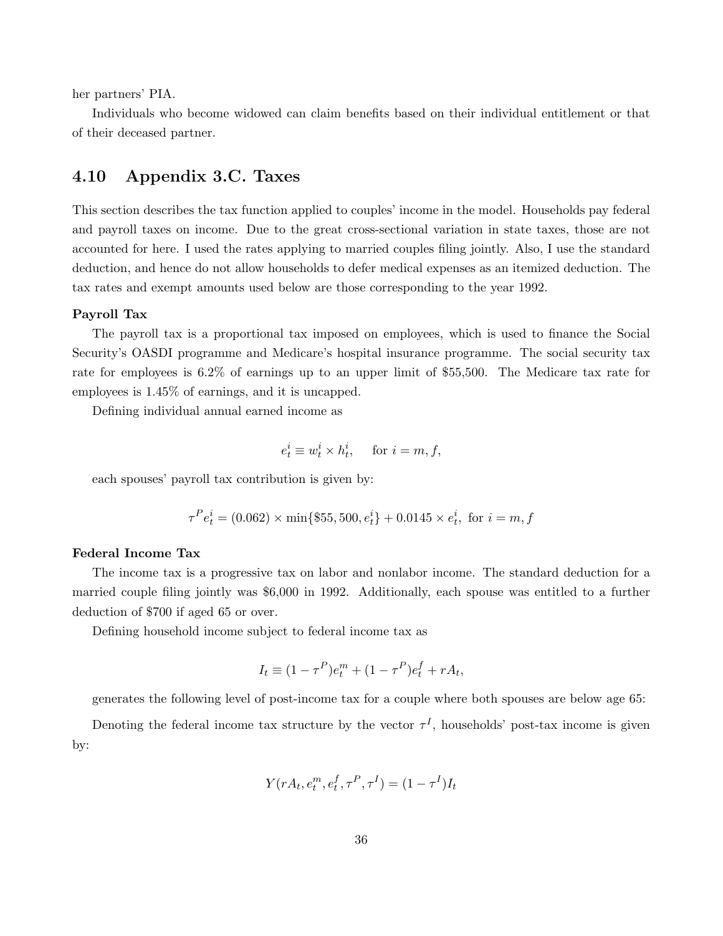her partners' PIA.

Individuals who become widowed can claim benefits based on their individual entitlement or that of their deceased partner.

### 4.10 Appendix 3.C. Taxes

This section describes the tax function applied to couples' income in the model. Households pay federal and payroll taxes on income. Due to the great cross-sectional variation in state taxes, those are not accounted for here. I used the rates applying to married couples filing jointly. Also, I use the standard deduction, and hence do not allow households to defer medical expenses as an itemized deduction. The tax rates and exempt amounts used below are those corresponding to the year 1992.

#### Payroll Tax

The payroll tax is a proportional tax imposed on employees, which is used to finance the Social Security's OASDI programme and Medicare's hospital insurance programme. The social security tax rate for employees is 6.2% of earnings up to an upper limit of \$55,500. The Medicare tax rate for employees is 1.45% of earnings, and it is uncapped.

Defining individual annual earned income as

$$
e_t^i \equiv w_t^i \times h_t^i, \quad \text{ for } i = m, f,
$$

each spouses' payroll tax contribution is given by:

$$
\tau^{P} e_t^i = (0.062) \times \min\{\$55, 500, e_t^i\} + 0.0145 \times e_t^i, \text{ for } i = m, f
$$

#### Federal Income Tax

The income tax is a progressive tax on labor and nonlabor income. The standard deduction for a married couple filing jointly was \$6,000 in 1992. Additionally, each spouse was entitled to a further deduction of \$700 if aged 65 or over.

Defining household income subject to federal income tax as

$$
I_t \equiv (1 - \tau^P)e_t^m + (1 - \tau^P)e_t^f + rA_t,
$$

generates the following level of post-income tax for a couple where both spouses are below age 65:

Denoting the federal income tax structure by the vector  $\tau<sup>I</sup>$ , households' post-tax income is given by:

$$
Y(rA_t, e_t^m, e_t^f, \tau^P, \tau^I) = (1 - \tau^I)I_t
$$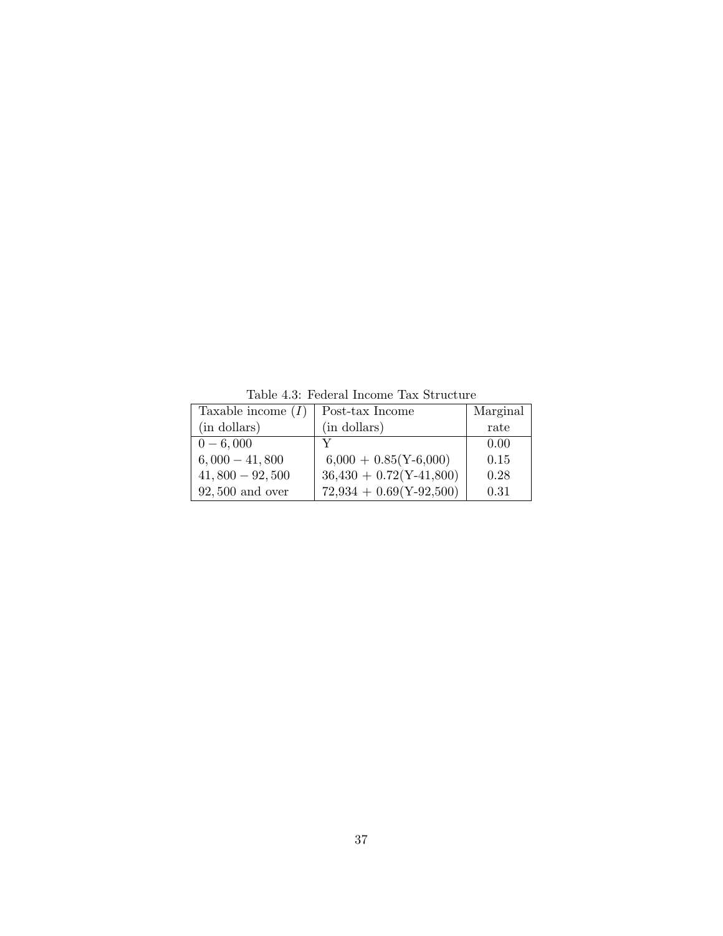Table 4.3: Federal Income Tax Structure

| Taxable income $(I)$ | Post-tax Income           | Marginal |
|----------------------|---------------------------|----------|
| (in dollars)         | (in dollars)              | rate     |
| $0 - 6,000$          |                           | 0.00     |
| $6,000 - 41,800$     | $6,000 + 0.85(Y-6,000)$   | 0.15     |
| $41,800 - 92,500$    | $36,430 + 0.72(Y-41,800)$ | 0.28     |
| $92,500$ and over    | $72,934 + 0.69(Y-92,500)$ | 0.31     |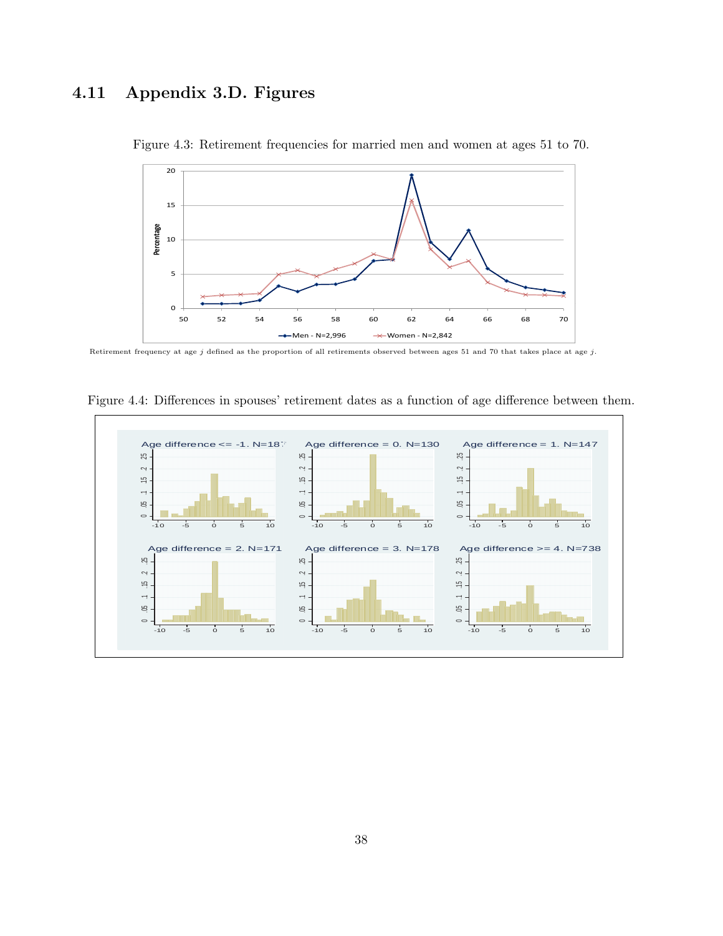# 4.11 Appendix 3.D. Figures



Figure 4.3: Retirement frequencies for married men and women at ages 51 to 70.

Retirement frequency at age  $j$  defined as the proportion of all retirements observed between ages 51 and 70 that takes place at age  $j$ .



Figure 4.4: Differences in spouses' retirement dates as a function of age difference between them.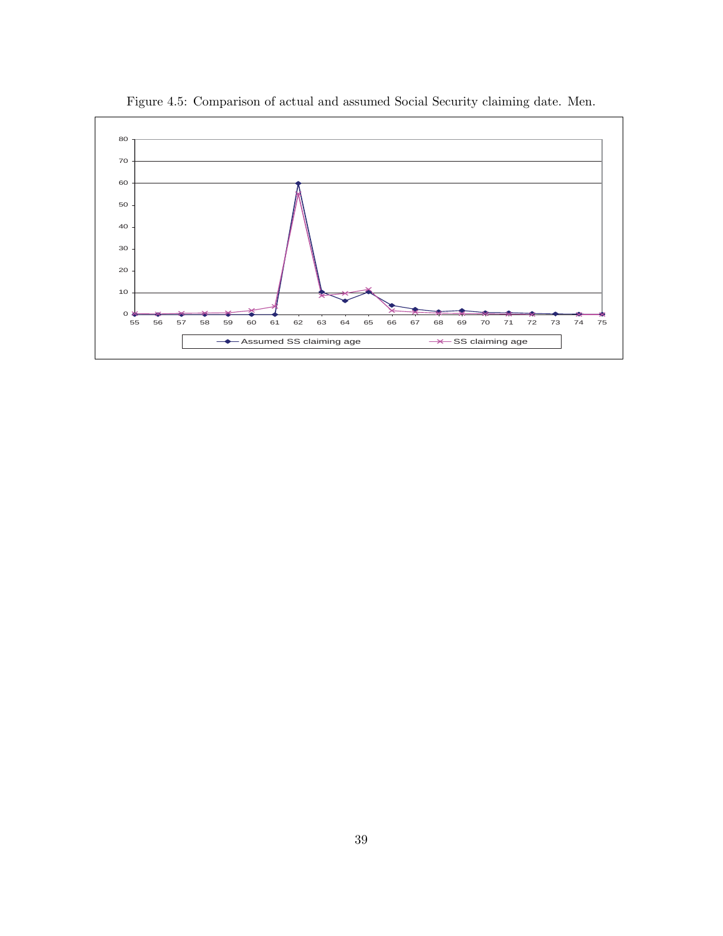

Figure 4.5: Comparison of actual and assumed Social Security claiming date. Men.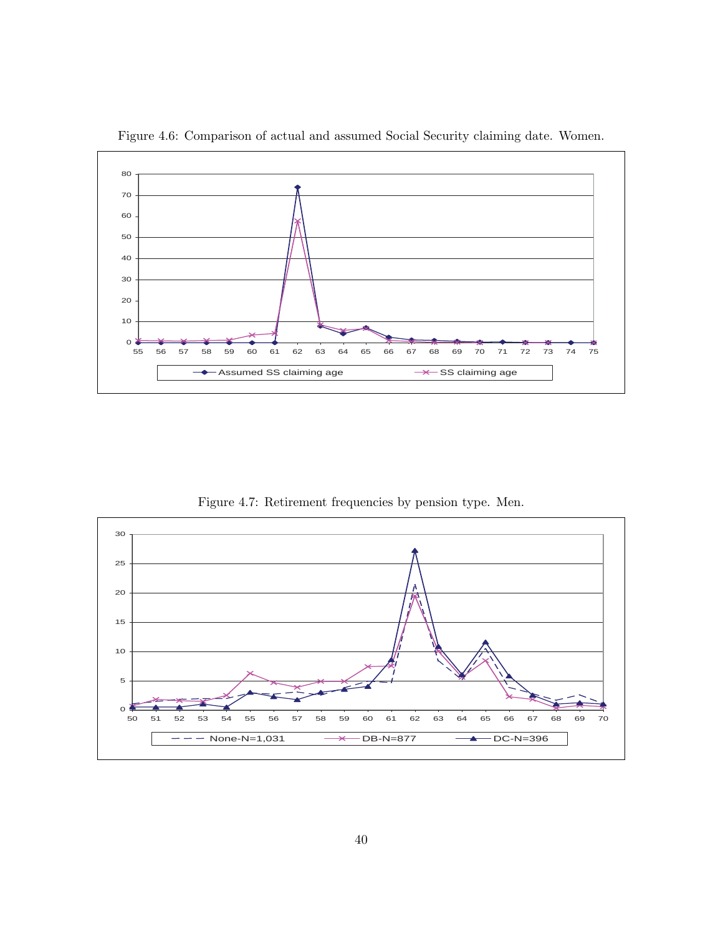

Figure 4.6: Comparison of actual and assumed Social Security claiming date. Women.

Figure 4.7: Retirement frequencies by pension type. Men.

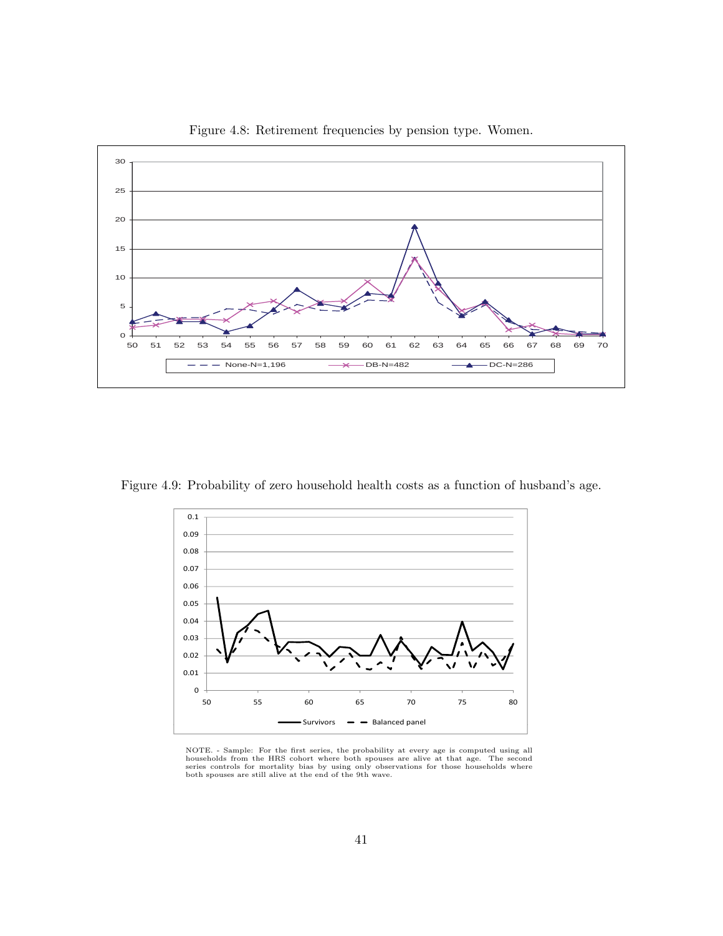

Figure 4.8: Retirement frequencies by pension type. Women.

Figure 4.9: Probability of zero household health costs as a function of husband's age.



NOTE. - Sample: For the first series, the probability at every age is computed using all households from the HRS cohort where both spouses are alive at that age. The second series controls for mortality bias by using only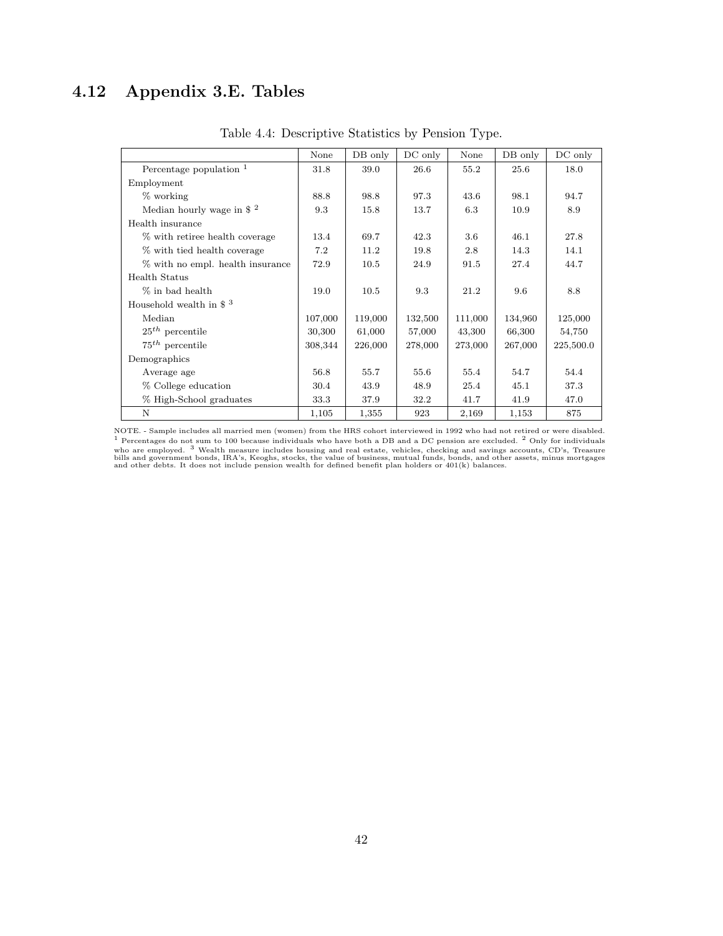# 4.12 Appendix 3.E. Tables

|                                       | None    | DB only | DC only | None    | DB only | $DC$ only |
|---------------------------------------|---------|---------|---------|---------|---------|-----------|
| Percentage population $1$             | 31.8    | 39.0    | 26.6    | 55.2    | 25.6    | 18.0      |
| Employment                            |         |         |         |         |         |           |
| $%$ working                           | 88.8    | 98.8    | 97.3    | 43.6    | 98.1    | 94.7      |
| Median hourly wage in $$^{2}$         | 9.3     | 15.8    | 13.7    | 6.3     | 10.9    | 8.9       |
| Health insurance                      |         |         |         |         |         |           |
| % with retiree health coverage        | 13.4    | 69.7    | 42.3    | 3.6     | 46.1    | 27.8      |
| % with tied health coverage           | 7.2     | 11.2    | 19.8    | 2.8     | 14.3    | 14.1      |
| % with no empl. health insurance      | 72.9    | 10.5    | 24.9    | 91.5    | 27.4    | 44.7      |
| Health Status                         |         |         |         |         |         |           |
| % in bad health                       | 19.0    | 10.5    | 9.3     | 21.2    | 9.6     | 8.8       |
| Household wealth in $\$$ <sup>3</sup> |         |         |         |         |         |           |
| Median                                | 107,000 | 119,000 | 132,500 | 111,000 | 134,960 | 125,000   |
| $25th$ percentile                     | 30,300  | 61,000  | 57,000  | 43,300  | 66,300  | 54,750    |
| $75th$ percentile                     | 308,344 | 226,000 | 278,000 | 273,000 | 267,000 | 225,500.0 |
| Demographics                          |         |         |         |         |         |           |
| Average age                           | 56.8    | 55.7    | 55.6    | 55.4    | 54.7    | 54.4      |
| % College education                   | 30.4    | 43.9    | 48.9    | 25.4    | 45.1    | 37.3      |
| % High-School graduates               | 33.3    | 37.9    | 32.2    | 41.7    | 41.9    | 47.0      |
| N                                     | 1,105   | 1,355   | 923     | 2,169   | 1,153   | 875       |

Table 4.4: Descriptive Statistics by Pension Type.

NOTE. - Sample includes all married men (women) from the HRS cohort interviewed in 1992 who had not retired or were disabled. <sup>1</sup> Percentages do not sum to 100 because individuals who have both a DB and a DC pension are excluded. <sup>2</sup> Only for individuals who are employed. <sup>3</sup> Wealth measure includes housing and real estate, vehicles, checking an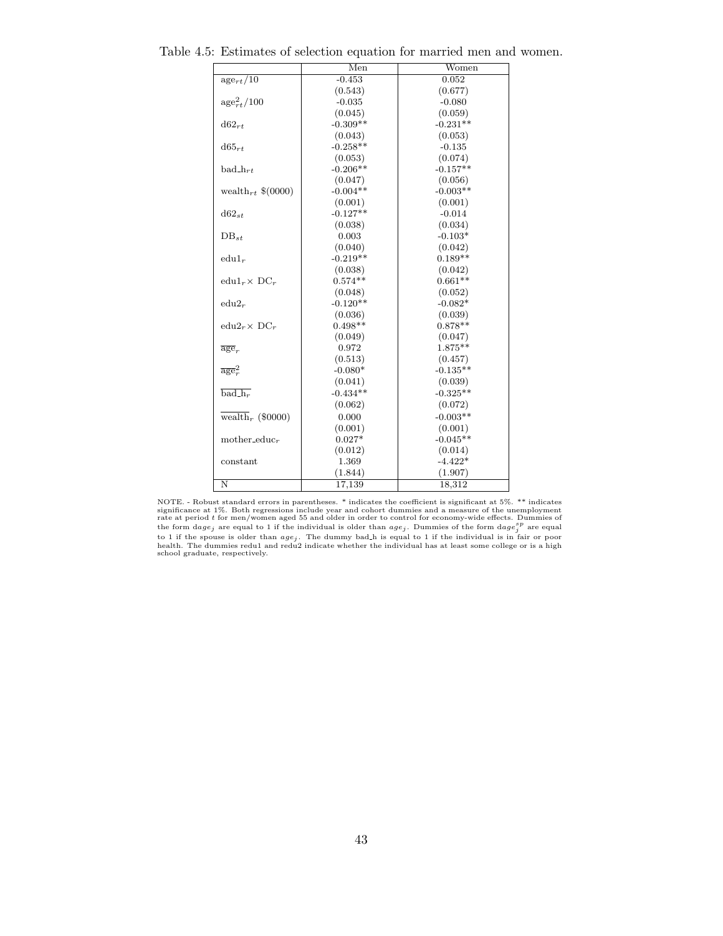|                                   | $\overline{\text{Men}}$ | Women      |
|-----------------------------------|-------------------------|------------|
| $\mathrm{age}_{rt}/\overline{10}$ | $-0.453$                | 0.052      |
|                                   | (0.543)                 | (0.677)    |
| $\rm{age}_{rt}^{2}/100$           | $-0.035$                | $-0.080$   |
|                                   | (0.045)                 | (0.059)    |
| $d62_{rt}$                        | $-0.309**$              | $-0.231**$ |
|                                   | (0.043)                 | (0.053)    |
| $d65_{rt}$                        | $-0.258**$              | $-0.135$   |
|                                   | (0.053)                 | (0.074)    |
| $bad_{\ldots}$                    | $-0.206**$              | $-0.157**$ |
|                                   | (0.047)                 | (0.056)    |
| wealth <sub>rt</sub> $$(0000)$    | $-0.004**$              | $-0.003**$ |
|                                   | (0.001)                 | (0.001)    |
| $d62_{st}$                        | $-0.127**$              | $-0.014$   |
|                                   | (0.038)                 | (0.034)    |
| $DB_{st}$                         | 0.003                   | $-0.103*$  |
|                                   | (0.040)                 | (0.042)    |
| $edu1_r$                          | $-0.219**$              | $0.189**$  |
|                                   | (0.038)                 | (0.042)    |
| $edu1_r \times DC_r$              | $0.574**$               | $0.661**$  |
|                                   | (0.048)                 | (0.052)    |
| $edu2_r$                          | $-0.120**$              | $-0.082*$  |
|                                   | (0.036)                 | (0.039)    |
| $edu2_r \times DC_r$              | $0.498**$               | $0.878**$  |
|                                   | (0.049)                 | (0.047)    |
| $\overline{age}_r$                | 0.972                   | $1.875**$  |
|                                   | (0.513)                 | (0.457)    |
| $\overline{age}^2$                | $-0.080*$               | $-0.135**$ |
|                                   | (0.041)                 | (0.039)    |
| $bad_hr$                          | $-0.434**$              | $-0.325**$ |
|                                   | (0.062)                 | (0.072)    |
| wealth <sub>r</sub> (\$0000)      | 0.000                   | $-0.003**$ |
|                                   | (0.001)                 | (0.001)    |
| mother_educ <sub>r</sub>          | $0.027*$                | $-0.045**$ |
|                                   | (0.012)                 | (0.014)    |
| constant                          | 1.369                   | $-4.422*$  |
|                                   | (1.844)                 | (1.907)    |
| N                                 | 17,139                  | 18,312     |

Table 4.5: Estimates of selection equation for married men and women.

NOTE. - Robust standard errors in parentheses. \* indicates the coefficient is significant at 5%. \*\* indicates<br>significance at 1%. Both regressions include year and cohort dummies and a measure of the unemployment<br>rate at to 1 if the spouse is older than  $age_j$ . The dummy bad<sub>-</sub>h is equal to 1 if the individual is in fair or poor<br>health. The dummies redu1 and redu2 indicate whether the individual has at least some college or is a high school graduate, respectively.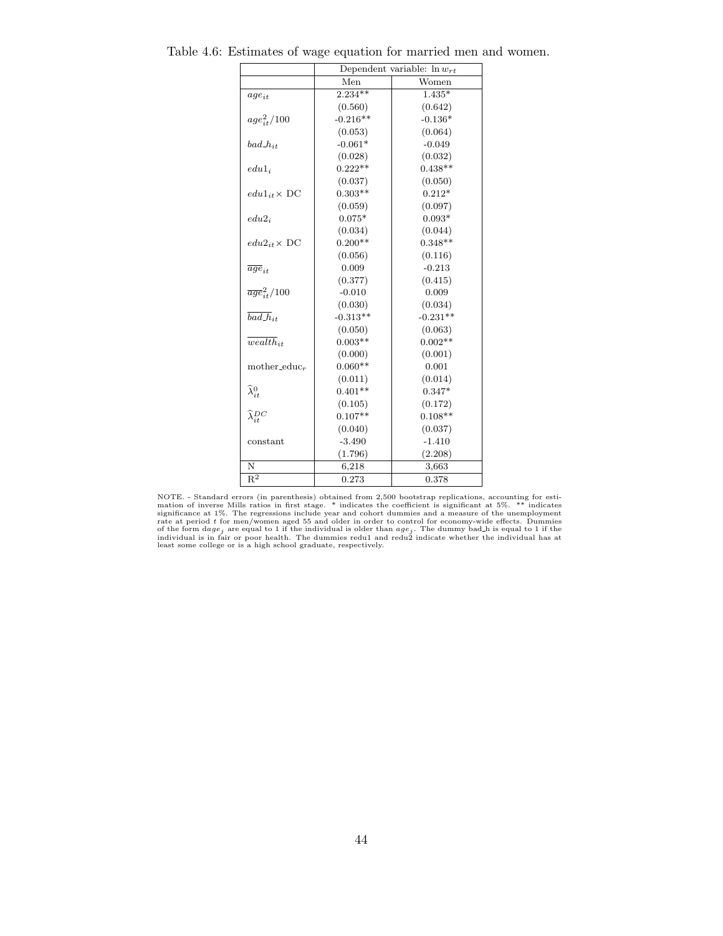|                                   | Dependent variable: $\ln w_{rt}$ |            |  |
|-----------------------------------|----------------------------------|------------|--|
|                                   | Men                              | Women      |  |
| $age_{it}$                        | $2.234**$                        | $1.435*$   |  |
|                                   | (0.560)                          | (0.642)    |  |
| $age_{i\pm}^{2}/100$              | $-0.216**$                       | $-0.136*$  |  |
|                                   | (0.053)                          | (0.064)    |  |
| $bad\_h_{it}$                     | $-0.061*$                        | $-0.049$   |  |
|                                   | (0.028)                          | (0.032)    |  |
| $edu1_i$                          | $0.222**$                        | $0.438**$  |  |
|                                   | (0.037)                          | (0.050)    |  |
| $edu1_{it} \times DC$             | $0.303**$                        | $0.212*$   |  |
|                                   | (0.059)                          | (0.097)    |  |
| $edu2_i$                          | $0.075*$                         | $0.093*$   |  |
|                                   | (0.034)                          | (0.044)    |  |
| $edu2_{it} \times DC$             | $0.200**$                        | $0.348**$  |  |
|                                   | (0.056)                          | (0.116)    |  |
| $\overline{age}_{it}$             | 0.009                            | $-0.213$   |  |
|                                   | (0.377)                          | (0.415)    |  |
| $\overline{age}_{it}^2/100$       | $-0.010$                         | 0.009      |  |
|                                   | (0.030)                          | (0.034)    |  |
| $\overline{bad}\overline{h}_{it}$ | $-0.313**$                       | $-0.231**$ |  |
|                                   | (0.050)                          | (0.063)    |  |
| $\overline{weakh}_{it}$           | $0.003**$                        | $0.002**$  |  |
|                                   | (0.000)                          | (0.001)    |  |
| mother_educ $_r$                  | $0.060**$                        | 0.001      |  |
|                                   | (0.011)                          | (0.014)    |  |
| $\widehat{\lambda}^0_{it}$        | $0.401**$                        | $0.347*$   |  |
|                                   | (0.105)                          | (0.172)    |  |
| $\widehat{\lambda}_{i}^{DC}$      | $0.107**$                        | $0.108**$  |  |
|                                   | (0.040)                          | (0.037)    |  |
| $-3.490$<br>constant              |                                  | $-1.410$   |  |
|                                   | (1.796)                          | (2.208)    |  |
| N                                 | 6,218                            | 3,663      |  |
| $\mathbf{R}^2$                    | 0.273                            | 0.378      |  |

Table 4.6: Estimates of wage equation for married men and women.

NOTE. - Standard errors (in parenthesis) obtained from 2,500 bootstrap replications, accounting for estimation of inverse Mills ratios in first stage. \* indicates the coefficient is significance at 1%. The regressions inc